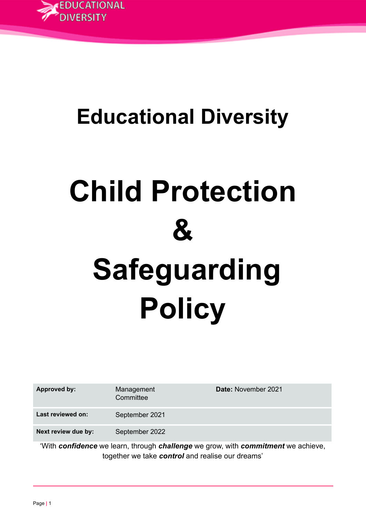

# **Educational Diversity**

# **Child Protection & Safeguarding Policy**

| Approved by:        | Management<br>Committee | <b>Date: November 2021</b>                                                        |
|---------------------|-------------------------|-----------------------------------------------------------------------------------|
| Last reviewed on:   | September 2021          |                                                                                   |
| Next review due by: | September 2022          |                                                                                   |
|                     |                         | 'With confidence we learn, through challenge we grow, with commitment we achieve, |

together we take *control* and realise our dreams'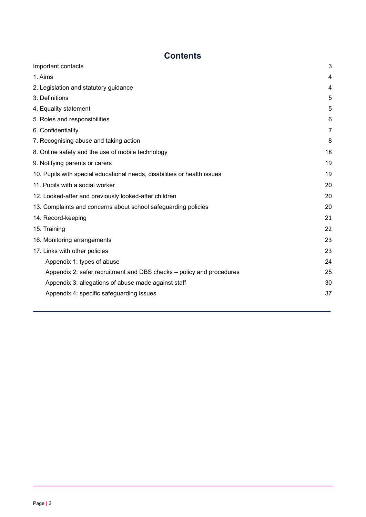# **Contents**

<span id="page-1-0"></span>

| Important contacts                                                       | 3              |
|--------------------------------------------------------------------------|----------------|
| 1. Aims                                                                  | 4              |
| 2. Legislation and statutory guidance                                    | $\overline{4}$ |
| 3. Definitions                                                           | 5              |
| 4. Equality statement                                                    | 5              |
| 5. Roles and responsibilities                                            | 6              |
| 6. Confidentiality                                                       | $\overline{7}$ |
| 7. Recognising abuse and taking action                                   | 8              |
| 8. Online safety and the use of mobile technology                        | 18             |
| 9. Notifying parents or carers                                           | 19             |
| 10. Pupils with special educational needs, disabilities or health issues | 19             |
| 11. Pupils with a social worker                                          | 20             |
| 12. Looked-after and previously looked-after children                    | 20             |
| 13. Complaints and concerns about school safeguarding policies           | 20             |
| 14. Record-keeping                                                       | 21             |
| 15. Training                                                             | 22             |
| 16. Monitoring arrangements                                              | 23             |
| 17. Links with other policies                                            | 23             |
| Appendix 1: types of abuse                                               | 24             |
| Appendix 2: safer recruitment and DBS checks - policy and procedures     | 25             |
| Appendix 3: allegations of abuse made against staff                      | 30             |
| Appendix 4: specific safeguarding issues                                 | 37             |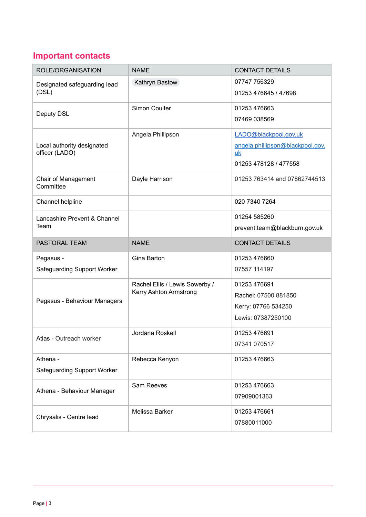# **Important contacts**

<span id="page-2-0"></span>

| ROLE/ORGANISATION                            | <b>NAME</b>                    | <b>CONTACT DETAILS</b>                 |
|----------------------------------------------|--------------------------------|----------------------------------------|
| Designated safeguarding lead                 | Kathryn Bastow                 | 07747 756329                           |
| (DSL)                                        |                                | 01253 476645 / 47698                   |
| Deputy DSL                                   | Simon Coulter                  | 01253 476663                           |
|                                              |                                | 07469 038569                           |
|                                              | Angela Phillipson              | LADO@blackpool.gov.uk                  |
| Local authority designated<br>officer (LADO) |                                | angela.phillipson@blackpool.gov.<br>uk |
|                                              |                                | 01253 478128 / 477558                  |
| Chair of Management<br>Committee             | Dayle Harrison                 | 01253 763414 and 07862744513           |
| Channel helpline                             |                                | 020 7340 7264                          |
| Lancashire Prevent & Channel                 |                                | 01254 585260                           |
| Team                                         |                                | prevent.team@blackburn.gov.uk          |
| PASTORAL TEAM                                | <b>NAME</b>                    | <b>CONTACT DETAILS</b>                 |
| Pegasus -                                    | Gina Barton                    | 01253 476660                           |
| Safeguarding Support Worker                  |                                | 07557 114197                           |
|                                              | Rachel Ellis / Lewis Sowerby / | 01253 476691                           |
| Pegasus - Behaviour Managers                 | Kerry Ashton Armstrong         | Rachel: 07500 881850                   |
|                                              |                                | Kerry: 07766 534250                    |
|                                              |                                |                                        |
|                                              |                                | Lewis: 07387250100                     |
|                                              | Jordana Roskell                | 01253 476691                           |
| Atlas - Outreach worker                      |                                | 07341 070517                           |
| Athena -                                     | Rebecca Kenyon                 | 01253 476663                           |
| Safeguarding Support Worker                  |                                |                                        |
|                                              | Sam Reeves                     | 01253 476663                           |
| Athena - Behaviour Manager                   |                                | 07909001363                            |
| Chrysalis - Centre lead                      | Melissa Barker                 | 01253 476661                           |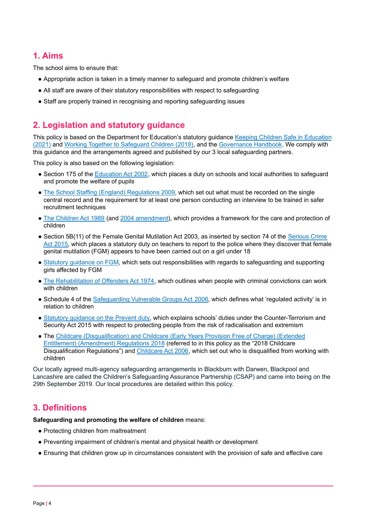# **1. Aims**

The school aims to ensure that:

- Appropriate action is taken in a timely manner to safeguard and promote children's welfare
- All staff are aware of their statutory responsibilities with respect to safeguarding
- <span id="page-3-0"></span>• Staff are properly trained in recognising and reporting safeguarding issues

# **2. Legislation and statutory guidance**

This policy is based on the Department for [Education](https://www.gov.uk/government/publications/keeping-children-safe-in-education--2)'s statutory guidance Keeping Children Safe in Education [\(2021\)](https://www.gov.uk/government/publications/keeping-children-safe-in-education--2) and Working Together to [Safeguard](https://www.gov.uk/government/publications/working-together-to-safeguard-children--2) Children (2018), and the [Governance](https://www.gov.uk/government/publications/governance-handbook) Handbook. We comply with this guidance and the arrangements agreed and published by our 3 local safeguarding partners.

This policy is also based on the following legislation:

- Section 175 of the [Education](http://www.legislation.gov.uk/ukpga/2002/32/section/175) Act 2002, which places a duty on schools and local authorities to safeguard and promote the welfare of pupils
- The School Staffing (England) [Regulations](http://www.legislation.gov.uk/uksi/2009/2680/contents/made) 2009, which set out what must be recorded on the single central record and the requirement for at least one person conducting an interview to be trained in safer recruitment techniques
- The [Children](http://www.legislation.gov.uk/ukpga/1989/41) Act 1989 (and 2004 [amendment\)](http://www.legislation.gov.uk/ukpga/2004/31/contents), which provides a framework for the care and protection of children
- Section 5B(11) of the Female Genital Mutilation Act 2003, as inserted by section 74 of the [Serious](http://www.legislation.gov.uk/ukpga/2015/9/part/5/crossheading/female-genital-mutilation) Crime Act [2015,](http://www.legislation.gov.uk/ukpga/2015/9/part/5/crossheading/female-genital-mutilation) which places a statutory duty on teachers to report to the police where they discover that female genital mutilation (FGM) appears to have been carried out on a girl under 18
- Statutory [guidance](https://www.gov.uk/government/publications/multi-agency-statutory-guidance-on-female-genital-mutilation) on FGM, which sets out responsibilities with regards to safeguarding and supporting girls affected by FGM
- The [Rehabilitation](http://www.legislation.gov.uk/ukpga/1974/53) of Offenders Act 1974, which outlines when people with criminal convictions can work with children
- Schedule 4 of the [Safeguarding](http://www.legislation.gov.uk/ukpga/2006/47/schedule/4) Vulnerable Groups Act 2006, which defines what 'regulated activity' is in relation to children
- Statutory [guidance](https://www.gov.uk/government/publications/prevent-duty-guidance) on the Prevent duty, which explains schools' duties under the Counter-Terrorism and Security Act 2015 with respect to protecting people from the risk of radicalisation and extremism
- The Childcare [\(Disqualification\)](http://www.legislation.gov.uk/uksi/2018/794/contents/made) and Childcare (Early Years Provision Free of Charge) (Extended Entitlement) [\(Amendment\)](http://www.legislation.gov.uk/uksi/2018/794/contents/made) Regulations 2018 (referred to in this policy as the "2018 Childcare Disqualification Regulations") and [Childcare](http://www.legislation.gov.uk/ukpga/2006/21/contents) Act 2006, which set out who is disqualified from working with children

Our locally agreed multi-agency safeguarding arrangements in Blackburn with Darwen, Blackpool and Lancashire are called the Children's Safeguarding Assurance Partnership (CSAP) and came into being on the 29th September 2019. Our local procedures are detailed within this policy.

# **3. Definitions**

**Safeguarding and promoting the welfare of children** means:

- Protecting children from maltreatment
- Preventing impairment of children's mental and physical health or development
- Ensuring that children grow up in circumstances consistent with the provision of safe and effective care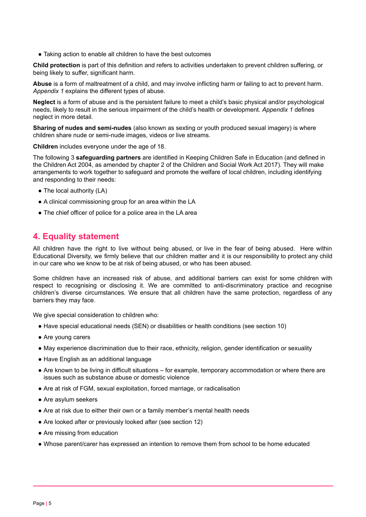● Taking action to enable all children to have the best outcomes

**Child protection** is part of this definition and refers to activities undertaken to prevent children suffering, or being likely to suffer, significant harm.

**Abuse** is a form of maltreatment of a child, and may involve inflicting harm or failing to act to prevent harm. *Appendix 1* explains the different types of abuse.

**Neglect** is a form of abuse and is the persistent failure to meet a child's basic physical and/or psychological needs, likely to result in the serious impairment of the child's health or development. *Appendix 1* defines neglect in more detail.

**Sharing of nudes and semi-nudes** (also known as sexting or youth produced sexual imagery) is where children share nude or semi-nude images, videos or live streams.

**Children** includes everyone under the age of 18.

The following 3 **safeguarding partners** are identified in Keeping Children Safe in Education (and defined in the Children Act 2004, as amended by chapter 2 of the Children and Social Work Act 2017). They will make arrangements to work together to safeguard and promote the welfare of local children, including identifying and responding to their needs:

- The local authority (LA)
- A clinical commissioning group for an area within the LA
- <span id="page-4-0"></span>• The chief officer of police for a police area in the LA area

# **4. Equality statement**

All children have the right to live without being abused, or live in the fear of being abused. Here within Educational Diversity, we firmly believe that our children matter and it is our responsibility to protect any child in our care who we know to be at risk of being abused, or who has been abused.

Some children have an increased risk of abuse, and additional barriers can exist for some children with respect to recognising or disclosing it. We are committed to anti-discriminatory practice and recognise children's diverse circumstances. We ensure that all children have the same protection, regardless of any barriers they may face.

We give special consideration to children who:

- Have special educational needs (SEN) or disabilities or health conditions (see section 10)
- Are young carers
- May experience discrimination due to their race, ethnicity, religion, gender identification or sexuality
- Have English as an additional language
- Are known to be living in difficult situations for example, temporary accommodation or where there are issues such as substance abuse or domestic violence
- Are at risk of FGM, sexual exploitation, forced marriage, or radicalisation
- Are asylum seekers
- Are at risk due to either their own or a family member's mental health needs
- Are looked after or previously looked after (see section 12)
- Are missing from education
- Whose parent/carer has expressed an intention to remove them from school to be home educated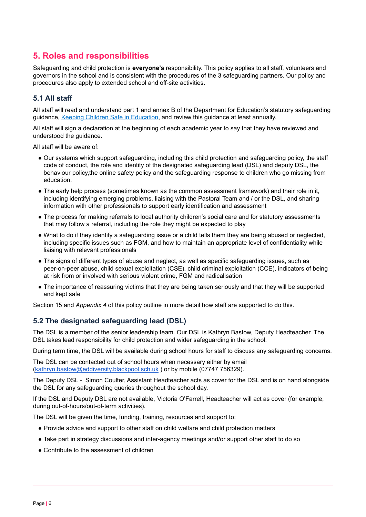# **5. Roles and responsibilities**

Safeguarding and child protection is **everyone's** responsibility. This policy applies to all staff, volunteers and governors in the school and is consistent with the procedures of the 3 safeguarding partners. Our policy and procedures also apply to extended school and off-site activities.

#### **5.1 All staff**

All staff will read and understand part 1 and annex B of the Department for Education's statutory safeguarding guidance, Keeping Children Safe in [Education,](https://www.gov.uk/government/publications/keeping-children-safe-in-education--2) and review this guidance at least annually.

All staff will sign a declaration at the beginning of each academic year to say that they have reviewed and understood the guidance.

All staff will be aware of:

- Our systems which support safeguarding, including this child protection and safeguarding policy, the staff code of conduct, the role and identity of the designated safeguarding lead (DSL) and deputy DSL, the behaviour policy,the online safety policy and the safeguarding response to children who go missing from education.
- The early help process (sometimes known as the common assessment framework) and their role in it, including identifying emerging problems, liaising with the Pastoral Team and / or the DSL, and sharing information with other professionals to support early identification and assessment
- The process for making referrals to local authority children's social care and for statutory assessments that may follow a referral, including the role they might be expected to play
- What to do if they identify a safeguarding issue or a child tells them they are being abused or neglected, including specific issues such as FGM, and how to maintain an appropriate level of confidentiality while liaising with relevant professionals
- The signs of different types of abuse and neglect, as well as specific safeguarding issues, such as peer-on-peer abuse, child sexual exploitation (CSE), child criminal exploitation (CCE), indicators of being at risk from or involved with serious violent crime, FGM and radicalisation
- The importance of reassuring victims that they are being taken seriously and that they will be supported and kept safe

Section 15 and *Appendix 4* of this policy outline in more detail how staff are supported to do this.

#### **5.2 The designated safeguarding lead (DSL)**

The DSL is a member of the senior leadership team. Our DSL is Kathryn Bastow, Deputy Headteacher. The DSL takes lead responsibility for child protection and wider safeguarding in the school.

During term time, the DSL will be available during school hours for staff to discuss any safeguarding concerns.

The DSL can be contacted out of school hours when necessary either by email [\(kathryn.bastow@eddiversity.blackpool.sch.uk](mailto:kathryn.bastow@eddiversity.blackpool.sch.uk) ) or by mobile (07747 756329).

The Deputy DSL - Simon Coulter, Assistant Headteacher acts as cover for the DSL and is on hand alongside the DSL for any safeguarding queries throughout the school day.

If the DSL and Deputy DSL are not available, Victoria O'Farrell, Headteacher will act as cover (for example, during out-of-hours/out-of-term activities).

The DSL will be given the time, funding, training, resources and support to:

- Provide advice and support to other staff on child welfare and child protection matters
- Take part in strategy discussions and inter-agency meetings and/or support other staff to do so
- Contribute to the assessment of children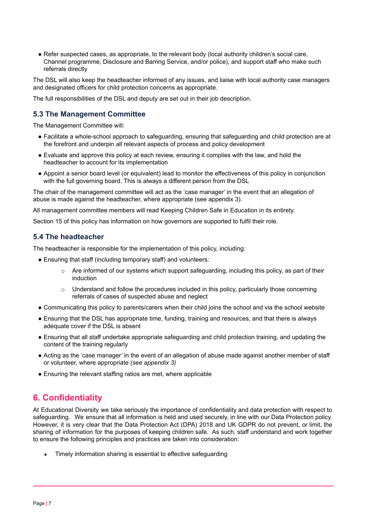● Refer suspected cases, as appropriate, to the relevant body (local authority children's social care, Channel programme, Disclosure and Barring Service, and/or police), and support staff who make such referrals directly

The DSL will also keep the headteacher informed of any issues, and liaise with local authority case managers and designated officers for child protection concerns as appropriate.

The full responsibilities of the DSL and deputy are set out in their job description.

#### **5.3 The Management Committee**

The Management Committee will:

- Facilitate a whole-school approach to safeguarding, ensuring that safeguarding and child protection are at the forefront and underpin all relevant aspects of process and policy development
- Evaluate and approve this policy at each review, ensuring it complies with the law, and hold the headteacher to account for its implementation
- Appoint a senior board level (or equivalent) lead to monitor the effectiveness of this policy in conjunction with the full governing board. This is always a different person from the DSL

The chair of the management committee will act as the 'case manager' in the event that an allegation of abuse is made against the headteacher, where appropriate (see appendix 3).

All management committee members will read Keeping Children Safe in Education in its entirety.

Section 15 of this policy has information on how governors are supported to fulfil their role.

#### **5.4 The headteacher**

The headteacher is responsible for the implementation of this policy, including:

- Ensuring that staff (including temporary staff) and volunteers:
	- $\circ$  Are informed of our systems which support safeguarding, including this policy, as part of their induction
	- $\circ$  Understand and follow the procedures included in this policy, particularly those concerning referrals of cases of suspected abuse and neglect
- Communicating this policy to parents/carers when their child joins the school and via the school website
- Ensuring that the DSL has appropriate time, funding, training and resources, and that there is always adequate cover if the DSL is absent
- Ensuring that all staff undertake appropriate safeguarding and child protection training, and updating the content of the training regularly
- Acting as the 'case manager' in the event of an allegation of abuse made against another member of staff or volunteer, where appropriate *(see appendix 3)*
- <span id="page-6-0"></span>• Ensuring the relevant staffing ratios are met, where applicable

# **6. Confidentiality**

At Educational Diversity we take seriously the importance of confidentiality and data protection with respect to safeguarding. We ensure that all information is held and used securely, in line with our Data Protection policy. However, it is very clear that the Data Protection Act (DPA) 2018 and UK GDPR do not prevent, or limit, the sharing of information for the purposes of keeping children safe. As such, staff understand and work together to ensure the following principles and practices are taken into consideration:

Timely information sharing is essential to effective safeguarding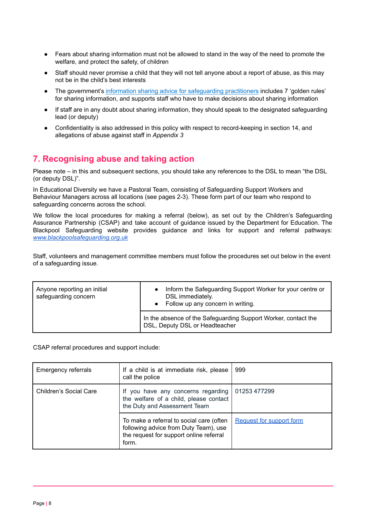- Fears about sharing information must not be allowed to stand in the way of the need to promote the welfare, and protect the safety, of children
- Staff should never promise a child that they will not tell anyone about a report of abuse, as this may not be in the child's best interests
- The government's information sharing advice for [safeguarding](https://www.gov.uk/government/publications/safeguarding-practitioners-information-sharing-advice) practitioners includes 7 'golden rules' for sharing information, and supports staff who have to make decisions about sharing information
- If staff are in any doubt about sharing information, they should speak to the designated safeguarding lead (or deputy)
- Confidentiality is also addressed in this policy with respect to record-keeping in section 14, and allegations of abuse against staff in *Appendix 3*

# <span id="page-7-0"></span>**7. Recognising abuse and taking action**

Please note – in this and subsequent sections, you should take any references to the DSL to mean "the DSL (or deputy DSL)".

In Educational Diversity we have a Pastoral Team, consisting of Safeguarding Support Workers and Behaviour Managers across all locations (see pages 2-3). These form part of our team who respond to safeguarding concerns across the school.

We follow the local procedures for making a referral (below), as set out by the Children's Safeguarding Assurance Partnership (CSAP) and take account of guidance issued by the Department for Education. The Blackpool Safeguarding website provides guidance and links for support and referral pathways: *[www.blackpoolsafeguarding.org.uk](http://www.blackpoolsafeguarding.org.uk)*

Staff, volunteers and management committee members must follow the procedures set out below in the event of a safeguarding issue.

| Anyone reporting an initial<br>safeguarding concern | Inform the Safeguarding Support Worker for your centre or<br>DSL immediately.<br>• Follow up any concern in writing. |
|-----------------------------------------------------|----------------------------------------------------------------------------------------------------------------------|
|                                                     | In the absence of the Safeguarding Support Worker, contact the<br>DSL, Deputy DSL or Headteacher                     |

CSAP referral procedures and support include:

| <b>Emergency referrals</b> | If a child is at immediate risk, please<br>call the police                                                                            | 999                      |
|----------------------------|---------------------------------------------------------------------------------------------------------------------------------------|--------------------------|
| Children's Social Care     | If you have any concerns regarding<br>the welfare of a child, please contact<br>the Duty and Assessment Team                          | 01253 477299             |
|                            | To make a referral to social care (often<br>following advice from Duty Team), use<br>the request for support online referral<br>form. | Request for support form |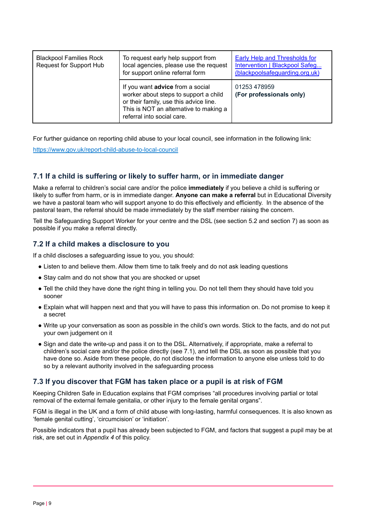| <b>Blackpool Families Rock</b><br>Request for Support Hub | To request early help support from<br>local agencies, please use the request<br>for support online referral form                                                                            | Early Help and Thresholds for<br>Intervention   Blackpool Safeg<br>(blackpoolsafeguarding.org.uk) |
|-----------------------------------------------------------|---------------------------------------------------------------------------------------------------------------------------------------------------------------------------------------------|---------------------------------------------------------------------------------------------------|
|                                                           | If you want advice from a social<br>worker about steps to support a child<br>or their family, use this advice line.<br>This is NOT an alternative to making a<br>referral into social care. | 01253 478959<br>(For professionals only)                                                          |

For further guidance on reporting child abuse to your local council, see information in the following link:

<https://www.gov.uk/report-child-abuse-to-local-council>

#### **7.1 If a child is suffering or likely to suffer harm, or in immediate danger**

Make a referral to children's social care and/or the police **immediately** if you believe a child is suffering or likely to suffer from harm, or is in immediate danger. **Anyone can make a referral** but in Educational Diversity we have a pastoral team who will support anyone to do this effectively and efficiently. In the absence of the pastoral team, the referral should be made immediately by the staff member raising the concern.

Tell the Safeguarding Support Worker for your centre and the DSL (see section 5.2 and section 7) as soon as possible if you make a referral directly.

#### **7.2 If a child makes a disclosure to you**

If a child discloses a safeguarding issue to you, you should:

- Listen to and believe them. Allow them time to talk freely and do not ask leading questions
- Stay calm and do not show that you are shocked or upset
- Tell the child they have done the right thing in telling you. Do not tell them they should have told you sooner
- Explain what will happen next and that you will have to pass this information on. Do not promise to keep it a secret
- Write up your conversation as soon as possible in the child's own words. Stick to the facts, and do not put your own judgement on it
- Sign and date the write-up and pass it on to the DSL. Alternatively, if appropriate, make a referral to children's social care and/or the police directly (see 7.1), and tell the DSL as soon as possible that you have done so. Aside from these people, do not disclose the information to anyone else unless told to do so by a relevant authority involved in the safeguarding process

#### **7.3 If you discover that FGM has taken place or a pupil is at risk of FGM**

Keeping Children Safe in Education explains that FGM comprises "all procedures involving partial or total removal of the external female genitalia, or other injury to the female genital organs".

FGM is illegal in the UK and a form of child abuse with long-lasting, harmful consequences. It is also known as 'female genital cutting', 'circumcision' or 'initiation'.

Possible indicators that a pupil has already been subjected to FGM, and factors that suggest a pupil may be at risk, are set out in *Appendix 4* of this policy.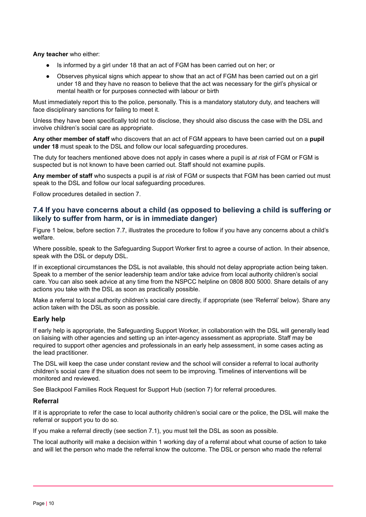**Any teacher** who either:

- Is informed by a girl under 18 that an act of FGM has been carried out on her; or
- Observes physical signs which appear to show that an act of FGM has been carried out on a girl under 18 and they have no reason to believe that the act was necessary for the girl's physical or mental health or for purposes connected with labour or birth

Must immediately report this to the police, personally. This is a mandatory statutory duty, and teachers will face disciplinary sanctions for failing to meet it.

Unless they have been specifically told not to disclose, they should also discuss the case with the DSL and involve children's social care as appropriate.

**Any other member of staff** who discovers that an act of FGM appears to have been carried out on a **pupil under 18** must speak to the DSL and follow our local safeguarding procedures.

The duty for teachers mentioned above does not apply in cases where a pupil is *at risk* of FGM or FGM is suspected but is not known to have been carried out. Staff should not examine pupils.

**Any member of staff** who suspects a pupil is *at risk* of FGM or suspects that FGM has been carried out must speak to the DSL and follow our local safeguarding procedures.

Follow procedures detailed in section 7.

#### **7.4 If you have concerns about a child (as opposed to believing a child is suffering or likely to suffer from harm, or is in immediate danger)**

Figure 1 below, before section 7.7, illustrates the procedure to follow if you have any concerns about a child's welfare.

Where possible, speak to the Safeguarding Support Worker first to agree a course of action. In their absence, speak with the DSL or deputy DSL.

If in exceptional circumstances the DSL is not available, this should not delay appropriate action being taken. Speak to a member of the senior leadership team and/or take advice from local authority children's social care. You can also seek advice at any time from the NSPCC helpline on 0808 800 5000. Share details of any actions you take with the DSL as soon as practically possible.

Make a referral to local authority children's social care directly, if appropriate (see 'Referral' below). Share any action taken with the DSL as soon as possible.

#### **Early help**

If early help is appropriate, the Safeguarding Support Worker, in collaboration with the DSL will generally lead on liaising with other agencies and setting up an inter-agency assessment as appropriate. Staff may be required to support other agencies and professionals in an early help assessment, in some cases acting as the lead practitioner.

The DSL will keep the case under constant review and the school will consider a referral to local authority children's social care if the situation does not seem to be improving. Timelines of interventions will be monitored and reviewed.

See Blackpool Families Rock Request for Support Hub (section 7) for referral procedures.

#### **Referral**

If it is appropriate to refer the case to local authority children's social care or the police, the DSL will make the referral or support you to do so.

If you make a referral directly (see section 7.1), you must tell the DSL as soon as possible.

The local authority will make a decision within 1 working day of a referral about what course of action to take and will let the person who made the referral know the outcome. The DSL or person who made the referral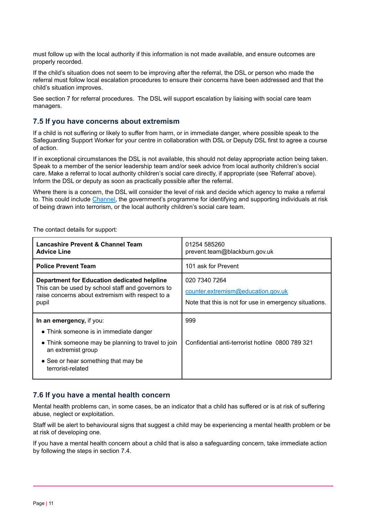must follow up with the local authority if this information is not made available, and ensure outcomes are properly recorded.

If the child's situation does not seem to be improving after the referral, the DSL or person who made the referral must follow local escalation procedures to ensure their concerns have been addressed and that the child's situation improves.

See section 7 for referral procedures. The DSL will support escalation by liaising with social care team managers.

#### **7.5 If you have concerns about extremism**

If a child is not suffering or likely to suffer from harm, or in immediate danger, where possible speak to the Safeguarding Support Worker for your centre in collaboration with DSL or Deputy DSL first to agree a course of action.

If in exceptional circumstances the DSL is not available, this should not delay appropriate action being taken. Speak to a member of the senior leadership team and/or seek advice from local authority children's social care. Make a referral to local authority children's social care directly, if appropriate (see 'Referral' above). Inform the DSL or deputy as soon as practically possible after the referral.

Where there is a concern, the DSL will consider the level of risk and decide which agency to make a referral to. This could include [Channel,](https://www.gov.uk/government/publications/channel-guidance) the government's programme for identifying and supporting individuals at risk of being drawn into terrorism, or the local authority children's social care team.

| The contact details for support: |  |
|----------------------------------|--|
|----------------------------------|--|

| <b>Lancashire Prevent &amp; Channel Team</b><br><b>Advice Line</b>                                                                                                                                        | 01254 585260<br>prevent.team@blackburn.gov.uk                                                                 |
|-----------------------------------------------------------------------------------------------------------------------------------------------------------------------------------------------------------|---------------------------------------------------------------------------------------------------------------|
| <b>Police Prevent Team</b>                                                                                                                                                                                | 101 ask for Prevent                                                                                           |
| Department for Education dedicated helpline<br>This can be used by school staff and governors to<br>raise concerns about extremism with respect to a<br>pupil                                             | 020 7340 7264<br>counter.extremism@education.gov.uk<br>Note that this is not for use in emergency situations. |
| In an emergency, if you:<br>• Think someone is in immediate danger<br>• Think someone may be planning to travel to join<br>an extremist group<br>• See or hear something that may be<br>terrorist-related | 999<br>Confidential anti-terrorist hotline 0800 789 321                                                       |

#### **7.6 If you have a mental health concern**

Mental health problems can, in some cases, be an indicator that a child has suffered or is at risk of suffering abuse, neglect or exploitation.

Staff will be alert to behavioural signs that suggest a child may be experiencing a mental health problem or be at risk of developing one.

If you have a mental health concern about a child that is also a safeguarding concern, take immediate action by following the steps in section 7.4.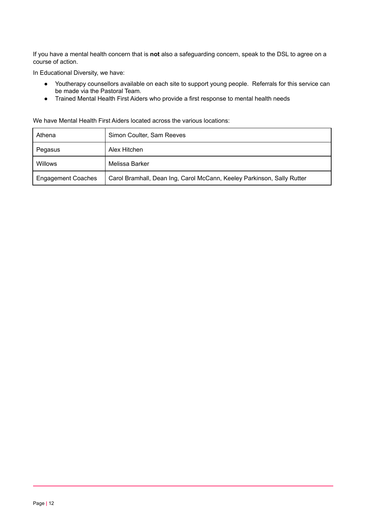If you have a mental health concern that is **not** also a safeguarding concern, speak to the DSL to agree on a course of action.

In Educational Diversity, we have:

- Youtherapy counsellors available on each site to support young people. Referrals for this service can be made via the Pastoral Team.
- Trained Mental Health First Aiders who provide a first response to mental health needs

We have Mental Health First Aiders located across the various locations:

| Athena                    | Simon Coulter, Sam Reeves                                              |
|---------------------------|------------------------------------------------------------------------|
| Pegasus                   | Alex Hitchen                                                           |
| Willows                   | Melissa Barker                                                         |
| <b>Engagement Coaches</b> | Carol Bramhall, Dean Ing, Carol McCann, Keeley Parkinson, Sally Rutter |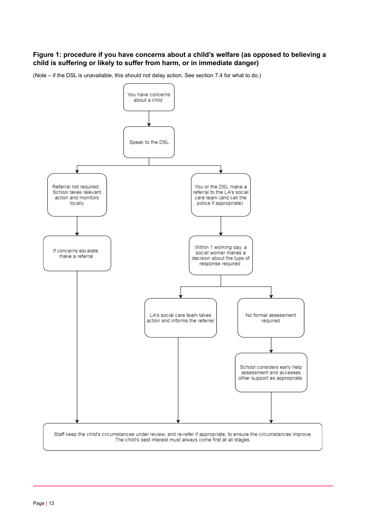#### **Figure 1: procedure if you have concerns about a child's welfare (as opposed to believing a child is suffering or likely to suffer from harm, or in immediate danger)**



(Note – if the DSL is unavailable, this should not delay action. See section 7.4 for what to do.)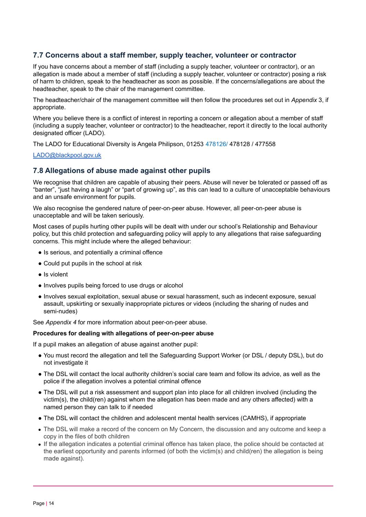#### **7.7 Concerns about a staff member, supply teacher, volunteer or contractor**

If you have concerns about a member of staff (including a supply teacher, volunteer or contractor), or an allegation is made about a member of staff (including a supply teacher, volunteer or contractor) posing a risk of harm to children, speak to the headteacher as soon as possible. If the concerns/allegations are about the headteacher, speak to the chair of the management committee.

The headteacher/chair of the management committee will then follow the procedures set out in *Appendix* 3, if appropriate.

Where you believe there is a conflict of interest in reporting a concern or allegation about a member of staff (including a supply teacher, volunteer or contractor) to the headteacher, report it directly to the local authority designated officer (LADO).

The LADO for Educational Diversity is Angela Philipson, 01253 478126/ 478128 / 477558

#### [LADO@blackpool.gov.uk](mailto:LADO@blackpool.gov.uk)

#### **7.8 Allegations of abuse made against other pupils**

We recognise that children are capable of abusing their peers. Abuse will never be tolerated or passed off as "banter", "just having a laugh" or "part of growing up", as this can lead to a culture of unacceptable behaviours and an unsafe environment for pupils.

We also recognise the gendered nature of peer-on-peer abuse. However, all peer-on-peer abuse is unacceptable and will be taken seriously.

Most cases of pupils hurting other pupils will be dealt with under our school's Relationship and Behaviour policy, but this child protection and safeguarding policy will apply to any allegations that raise safeguarding concerns. This might include where the alleged behaviour:

- Is serious, and potentially a criminal offence
- Could put pupils in the school at risk
- Is violent
- Involves pupils being forced to use drugs or alcohol
- Involves sexual exploitation, sexual abuse or sexual harassment, such as indecent exposure, sexual assault, upskirting or sexually inappropriate pictures or videos (including the sharing of nudes and semi-nudes)

See *Appendix 4* for more information about peer-on-peer abuse.

#### **Procedures for dealing with allegations of peer-on-peer abuse**

If a pupil makes an allegation of abuse against another pupil:

- You must record the allegation and tell the Safeguarding Support Worker (or DSL / deputy DSL), but do not investigate it
- The DSL will contact the local authority children's social care team and follow its advice, as well as the police if the allegation involves a potential criminal offence
- The DSL will put a risk assessment and support plan into place for all children involved (including the victim(s), the child(ren) against whom the allegation has been made and any others affected) with a named person they can talk to if needed
- The DSL will contact the children and adolescent mental health services (CAMHS), if appropriate
- The DSL will make a record of the concern on My Concern, the discussion and any outcome and keep a copy in the files of both children
- If the allegation indicates a potential criminal offence has taken place, the police should be contacted at the earliest opportunity and parents informed (of both the victim(s) and child(ren) the allegation is being made against).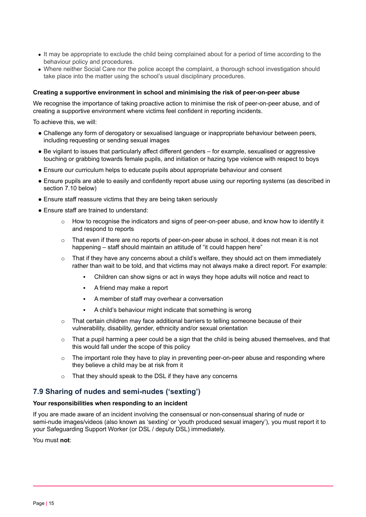- It may be appropriate to exclude the child being complained about for a period of time according to the behaviour policy and procedures.
- Where neither Social Care nor the police accept the complaint, a thorough school investigation should take place into the matter using the school's usual disciplinary procedures.

#### **Creating a supportive environment in school and minimising the risk of peer-on-peer abuse**

We recognise the importance of taking proactive action to minimise the risk of peer-on-peer abuse, and of creating a supportive environment where victims feel confident in reporting incidents.

To achieve this, we will:

- Challenge any form of derogatory or sexualised language or inappropriate behaviour between peers, including requesting or sending sexual images
- Be vigilant to issues that particularly affect different genders for example, sexualised or aggressive touching or grabbing towards female pupils, and initiation or hazing type violence with respect to boys
- Ensure our curriculum helps to educate pupils about appropriate behaviour and consent
- Ensure pupils are able to easily and confidently report abuse using our reporting systems (as described in section 7.10 below)
- Ensure staff reassure victims that they are being taken seriously
- Ensure staff are trained to understand:
	- $\circ$  How to recognise the indicators and signs of peer-on-peer abuse, and know how to identify it and respond to reports
	- $\circ$  That even if there are no reports of peer-on-peer abuse in school, it does not mean it is not happening – staff should maintain an attitude of "it could happen here"
	- $\circ$  That if they have any concerns about a child's welfare, they should act on them immediately rather than wait to be told, and that victims may not always make a direct report. For example:
		- Children can show signs or act in ways they hope adults will notice and react to
		- A friend may make a report
		- A member of staff may overhear a conversation
		- A child's behaviour might indicate that something is wrong
	- $\circ$  That certain children may face additional barriers to telling someone because of their vulnerability, disability, gender, ethnicity and/or sexual orientation
	- o That a pupil harming a peer could be a sign that the child is being abused themselves, and that this would fall under the scope of this policy
	- o The important role they have to play in preventing peer-on-peer abuse and responding where they believe a child may be at risk from it
	- o That they should speak to the DSL if they have any concerns

#### **7.9 Sharing of nudes and semi-nudes ('sexting')**

#### **Your responsibilities when responding to an incident**

If you are made aware of an incident involving the consensual or non-consensual sharing of nude or semi-nude images/videos (also known as 'sexting' or 'youth produced sexual imagery'), you must report it to your Safeguarding Support Worker (or DSL / deputy DSL) immediately.

You must **not**: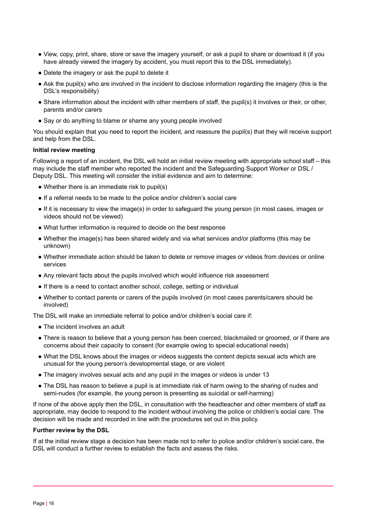- View, copy, print, share, store or save the imagery yourself, or ask a pupil to share or download it (if you have already viewed the imagery by accident, you must report this to the DSL immediately).
- Delete the imagery or ask the pupil to delete it
- Ask the pupil(s) who are involved in the incident to disclose information regarding the imagery (this is the DSL's responsibility)
- Share information about the incident with other members of staff, the pupil(s) it involves or their, or other, parents and/or carers
- Say or do anything to blame or shame any young people involved

You should explain that you need to report the incident, and reassure the pupil(s) that they will receive support and help from the DSL.

#### **Initial review meeting**

Following a report of an incident, the DSL will hold an initial review meeting with appropriate school staff – this may include the staff member who reported the incident and the Safeguarding Support Worker or DSL / Deputy DSL. This meeting will consider the initial evidence and aim to determine:

- Whether there is an immediate risk to pupil(s)
- If a referral needs to be made to the police and/or children's social care
- If it is necessary to view the image(s) in order to safeguard the young person (in most cases, images or videos should not be viewed)
- What further information is required to decide on the best response
- Whether the image(s) has been shared widely and via what services and/or platforms (this may be unknown)
- Whether immediate action should be taken to delete or remove images or videos from devices or online services
- Any relevant facts about the pupils involved which would influence risk assessment
- If there is a need to contact another school, college, setting or individual
- Whether to contact parents or carers of the pupils involved (in most cases parents/carers should be involved)

The DSL will make an immediate referral to police and/or children's social care if:

- The incident involves an adult
- There is reason to believe that a young person has been coerced, blackmailed or groomed, or if there are concerns about their capacity to consent (for example owing to special educational needs)
- What the DSL knows about the images or videos suggests the content depicts sexual acts which are unusual for the young person's developmental stage, or are violent
- The imagery involves sexual acts and any pupil in the images or videos is under 13
- The DSL has reason to believe a pupil is at immediate risk of harm owing to the sharing of nudes and semi-nudes (for example, the young person is presenting as suicidal or self-harming)

If none of the above apply then the DSL, in consultation with the headteacher and other members of staff as appropriate, may decide to respond to the incident without involving the police or children's social care. The decision will be made and recorded in line with the procedures set out in this policy.

#### **Further review by the DSL**

If at the initial review stage a decision has been made not to refer to police and/or children's social care, the DSL will conduct a further review to establish the facts and assess the risks.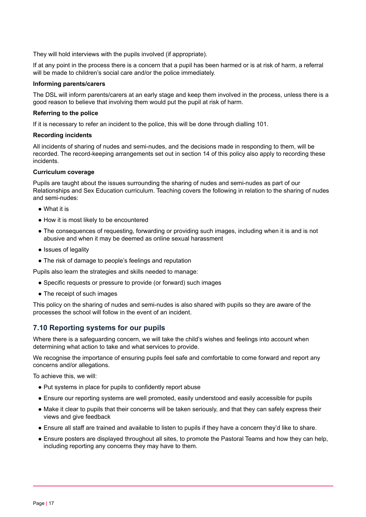They will hold interviews with the pupils involved (if appropriate).

If at any point in the process there is a concern that a pupil has been harmed or is at risk of harm, a referral will be made to children's social care and/or the police immediately.

#### **Informing parents/carers**

The DSL will inform parents/carers at an early stage and keep them involved in the process, unless there is a good reason to believe that involving them would put the pupil at risk of harm.

#### **Referring to the police**

If it is necessary to refer an incident to the police, this will be done through dialling 101.

#### **Recording incidents**

All incidents of sharing of nudes and semi-nudes, and the decisions made in responding to them, will be recorded. The record-keeping arrangements set out in section 14 of this policy also apply to recording these incidents.

#### **Curriculum coverage**

Pupils are taught about the issues surrounding the sharing of nudes and semi-nudes as part of our Relationships and Sex Education curriculum. Teaching covers the following in relation to the sharing of nudes and semi-nudes:

- What it is
- How it is most likely to be encountered
- The consequences of requesting, forwarding or providing such images, including when it is and is not abusive and when it may be deemed as online sexual harassment
- Issues of legality
- The risk of damage to people's feelings and reputation

Pupils also learn the strategies and skills needed to manage:

- Specific requests or pressure to provide (or forward) such images
- The receipt of such images

This policy on the sharing of nudes and semi-nudes is also shared with pupils so they are aware of the processes the school will follow in the event of an incident.

#### **7.10 Reporting systems for our pupils**

Where there is a safeguarding concern, we will take the child's wishes and feelings into account when determining what action to take and what services to provide.

We recognise the importance of ensuring pupils feel safe and comfortable to come forward and report any concerns and/or allegations.

To achieve this, we will:

- Put systems in place for pupils to confidently report abuse
- Ensure our reporting systems are well promoted, easily understood and easily accessible for pupils
- Make it clear to pupils that their concerns will be taken seriously, and that they can safely express their views and give feedback
- Ensure all staff are trained and available to listen to pupils if they have a concern they'd like to share.
- Ensure posters are displayed throughout all sites, to promote the Pastoral Teams and how they can help, including reporting any concerns they may have to them.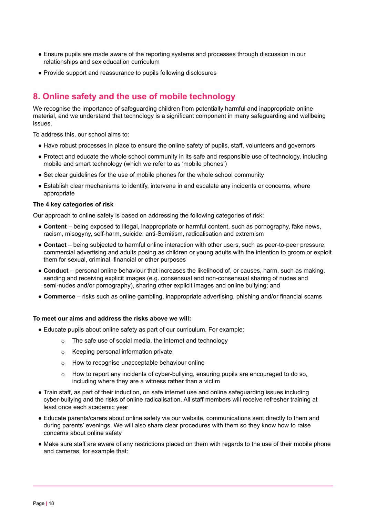- Ensure pupils are made aware of the reporting systems and processes through discussion in our relationships and sex education curriculum
- <span id="page-17-0"></span>● Provide support and reassurance to pupils following disclosures

# **8. Online safety and the use of mobile technology**

We recognise the importance of safeguarding children from potentially harmful and inappropriate online material, and we understand that technology is a significant component in many safeguarding and wellbeing issues.

To address this, our school aims to:

- Have robust processes in place to ensure the online safety of pupils, staff, volunteers and governors
- Protect and educate the whole school community in its safe and responsible use of technology, including mobile and smart technology (which we refer to as 'mobile phones')
- Set clear guidelines for the use of mobile phones for the whole school community
- Establish clear mechanisms to identify, intervene in and escalate any incidents or concerns, where appropriate

#### **The 4 key categories of risk**

Our approach to online safety is based on addressing the following categories of risk:

- **Content** being exposed to illegal, inappropriate or harmful content, such as pornography, fake news, racism, misogyny, self-harm, suicide, anti-Semitism, radicalisation and extremism
- **Contact** being subjected to harmful online interaction with other users, such as peer-to-peer pressure, commercial advertising and adults posing as children or young adults with the intention to groom or exploit them for sexual, criminal, financial or other purposes
- **Conduct** personal online behaviour that increases the likelihood of, or causes, harm, such as making, sending and receiving explicit images (e.g. consensual and non-consensual sharing of nudes and semi-nudes and/or pornography), sharing other explicit images and online bullying; and
- **Commerce** risks such as online gambling, inappropriate advertising, phishing and/or financial scams

#### **To meet our aims and address the risks above we will:**

- Educate pupils about online safety as part of our curriculum. For example:
	- o The safe use of social media, the internet and technology
	- o Keeping personal information private
	- o How to recognise unacceptable behaviour online
	- $\circ$  How to report any incidents of cyber-bullying, ensuring pupils are encouraged to do so, including where they are a witness rather than a victim
- Train staff, as part of their induction, on safe internet use and online safeguarding issues including cyber-bullying and the risks of online radicalisation. All staff members will receive refresher training at least once each academic year
- Educate parents/carers about online safety via our website, communications sent directly to them and during parents' evenings. We will also share clear procedures with them so they know how to raise concerns about online safety
- Make sure staff are aware of any restrictions placed on them with regards to the use of their mobile phone and cameras, for example that: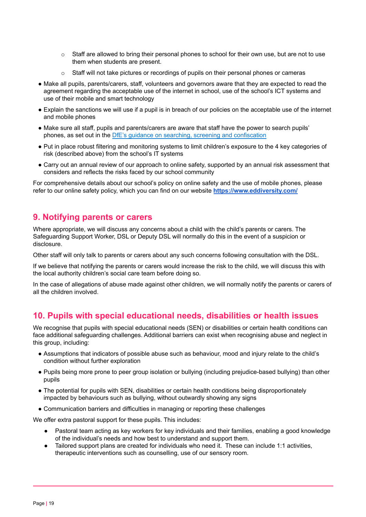- $\circ$  Staff are allowed to bring their personal phones to school for their own use, but are not to use them when students are present.
- $\circ$  Staff will not take pictures or recordings of pupils on their personal phones or cameras
- Make all pupils, parents/carers, staff, volunteers and governors aware that they are expected to read the agreement regarding the acceptable use of the internet in school, use of the school's ICT systems and use of their mobile and smart technology
- Explain the sanctions we will use if a pupil is in breach of our policies on the acceptable use of the internet and mobile phones
- Make sure all staff, pupils and parents/carers are aware that staff have the power to search pupils' phones, as set out in the DfE's guidance on searching, screening and [confiscation](https://www.gov.uk/government/publications/searching-screening-and-confiscation)
- Put in place robust filtering and monitoring systems to limit children's exposure to the 4 key categories of risk (described above) from the school's IT systems
- Carry out an annual review of our approach to online safety, supported by an annual risk assessment that considers and reflects the risks faced by our school community

For comprehensive details about our school's policy on online safety and the use of mobile phones, please refer to our online safety policy, which you can find on our website **<https://www.eddiversity.com/>**

# **9. Notifying parents or carers**

Where appropriate, we will discuss any concerns about a child with the child's parents or carers. The Safeguarding Support Worker, DSL or Deputy DSL will normally do this in the event of a suspicion or disclosure.

Other staff will only talk to parents or carers about any such concerns following consultation with the DSL.

If we believe that notifying the parents or carers would increase the risk to the child, we will discuss this with the local authority children's social care team before doing so.

In the case of allegations of abuse made against other children, we will normally notify the parents or carers of all the children involved.

# <span id="page-18-0"></span>**10. Pupils with special educational needs, disabilities or health issues**

We recognise that pupils with special educational needs (SEN) or disabilities or certain health conditions can face additional safeguarding challenges. Additional barriers can exist when recognising abuse and neglect in this group, including:

- Assumptions that indicators of possible abuse such as behaviour, mood and injury relate to the child's condition without further exploration
- Pupils being more prone to peer group isolation or bullying (including prejudice-based bullying) than other pupils
- The potential for pupils with SEN, disabilities or certain health conditions being disproportionately impacted by behaviours such as bullying, without outwardly showing any signs
- Communication barriers and difficulties in managing or reporting these challenges

We offer extra pastoral support for these pupils. This includes:

- Pastoral team acting as key workers for key individuals and their families, enabling a good knowledge of the individual's needs and how best to understand and support them.
- Tailored support plans are created for individuals who need it. These can include 1:1 activities, therapeutic interventions such as counselling, use of our sensory room.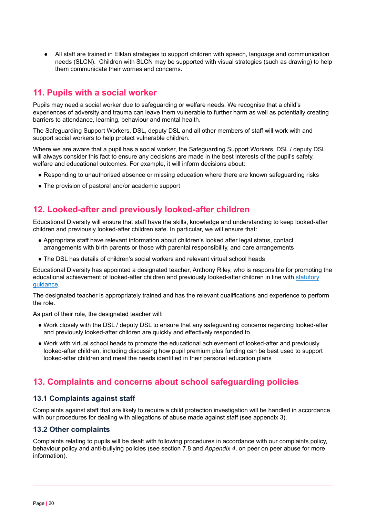All staff are trained in Elklan strategies to support children with speech, language and communication needs (SLCN). Children with SLCN may be supported with visual strategies (such as drawing) to help them communicate their worries and concerns.

# <span id="page-19-0"></span>**11. Pupils with a social worker**

Pupils may need a social worker due to safeguarding or welfare needs. We recognise that a child's experiences of adversity and trauma can leave them vulnerable to further harm as well as potentially creating barriers to attendance, learning, behaviour and mental health.

The Safeguarding Support Workers, DSL, deputy DSL and all other members of staff will work with and support social workers to help protect vulnerable children.

Where we are aware that a pupil has a social worker, the Safeguarding Support Workers, DSL / deputy DSL will always consider this fact to ensure any decisions are made in the best interests of the pupil's safety, welfare and educational outcomes. For example, it will inform decisions about:

- Responding to unauthorised absence or missing education where there are known safeguarding risks
- <span id="page-19-1"></span>• The provision of pastoral and/or academic support

# **12. Looked-after and previously looked-after children**

Educational Diversity will ensure that staff have the skills, knowledge and understanding to keep looked-after children and previously looked-after children safe. In particular, we will ensure that:

- Appropriate staff have relevant information about children's looked after legal status, contact arrangements with birth parents or those with parental responsibility, and care arrangements
- The DSL has details of children's social workers and relevant virtual school heads

Educational Diversity has appointed a designated teacher, Anthony Riley, who is responsible for promoting the educational achievement of looked-after children and previously looked-after children in line with [statutory](https://www.gov.uk/government/publications/designated-teacher-for-looked-after-children) [guidance](https://www.gov.uk/government/publications/designated-teacher-for-looked-after-children).

The designated teacher is appropriately trained and has the relevant qualifications and experience to perform the role.

As part of their role, the designated teacher will:

- Work closely with the DSL / deputy DSL to ensure that any safeguarding concerns regarding looked-after and previously looked-after children are quickly and effectively responded to
- Work with virtual school heads to promote the educational achievement of looked-after and previously looked-after children, including discussing how pupil premium plus funding can be best used to support looked-after children and meet the needs identified in their personal education plans

# <span id="page-19-2"></span>**13. Complaints and concerns about school safeguarding policies**

#### **13.1 Complaints against staff**

Complaints against staff that are likely to require a child protection investigation will be handled in accordance with our procedures for dealing with allegations of abuse made against staff (see appendix 3).

#### **13.2 Other complaints**

Complaints relating to pupils will be dealt with following procedures in accordance with our complaints policy, behaviour policy and anti-bullying policies (see section 7.8 and *Appendix 4*, on peer on peer abuse for more information).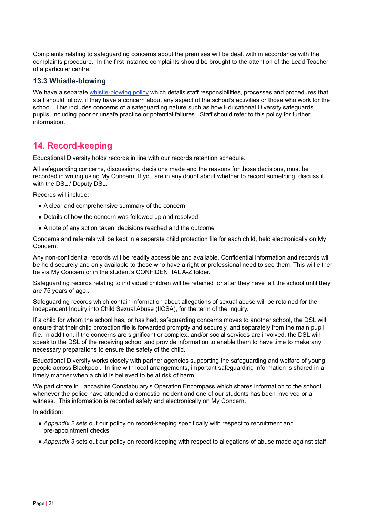Complaints relating to safeguarding concerns about the premises will be dealt with in accordance with the complaints procedure. In the first instance complaints should be brought to the attention of the Lead Teacher of a particular centre.

#### **13.3 Whistle-blowing**

We have a separate [whistle-blowing](https://docs.google.com/document/d/1E-2rmUeWLrbJMQsNrLowHZCxoXu8nig_rh91JRHd2UA/edit) policy which details staff responsibilities, processes and procedures that staff should follow, if they have a concern about any aspect of the school's activities or those who work for the school. This includes concerns of a safeguarding nature such as how Educational Diversity safeguards pupils, including poor or unsafe practice or potential failures. Staff should refer to this policy for further information.

# **14. Record-keeping**

Educational Diversity holds records in line with our records retention schedule.

All safeguarding concerns, discussions, decisions made and the reasons for those decisions, must be recorded in writing using My Concern. If you are in any doubt about whether to record something, discuss it with the DSL / Deputy DSL.

Records will include:

- A clear and comprehensive summary of the concern
- Details of how the concern was followed up and resolved
- A note of any action taken, decisions reached and the outcome

Concerns and referrals will be kept in a separate child protection file for each child, held electronically on My Concern.

Any non-confidential records will be readily accessible and available. Confidential information and records will be held securely and only available to those who have a right or professional need to see them. This will either be via My Concern or in the student's CONFIDENTIAL A-Z folder.

Safeguarding records relating to individual children will be retained for after they have left the school until they are 75 years of age..

Safeguarding records which contain information about allegations of sexual abuse will be retained for the Independent Inquiry into Child Sexual Abuse (IICSA), for the term of the inquiry.

If a child for whom the school has, or has had, safeguarding concerns moves to another school, the DSL will ensure that their child protection file is forwarded promptly and securely, and separately from the main pupil file. In addition, if the concerns are significant or complex, and/or social services are involved, the DSL will speak to the DSL of the receiving school and provide information to enable them to have time to make any necessary preparations to ensure the safety of the child.

Educational Diversity works closely with partner agencies supporting the safeguarding and welfare of young people across Blackpool. In line with local arrangements, important safeguarding information is shared in a timely manner when a child is believed to be at risk of harm.

We participate in Lancashire Constabulary's Operation Encompass which shares information to the school whenever the police have attended a domestic incident and one of our students has been involved or a witness. This information is recorded safely and electronically on My Concern.

In addition:

- *Appendix 2* sets out our policy on record-keeping specifically with respect to recruitment and pre-appointment checks
- <span id="page-20-0"></span>● *Appendix 3* sets out our policy on record-keeping with respect to allegations of abuse made against staff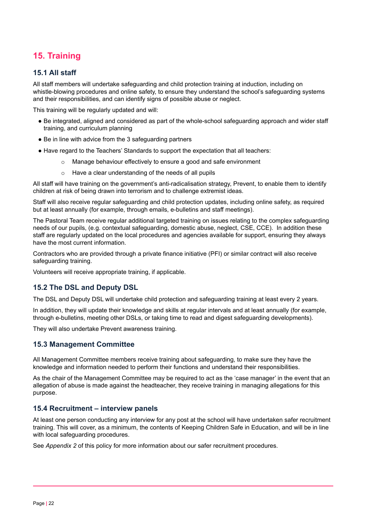# **15. Training**

#### **15.1 All staff**

All staff members will undertake safeguarding and child protection training at induction, including on whistle-blowing procedures and online safety, to ensure they understand the school's safeguarding systems and their responsibilities, and can identify signs of possible abuse or neglect.

This training will be regularly updated and will:

- Be integrated, aligned and considered as part of the whole-school safeguarding approach and wider staff training, and curriculum planning
- Be in line with advice from the 3 safeguarding partners
- Have regard to the Teachers' Standards to support the expectation that all teachers:
	- Manage behaviour effectively to ensure a good and safe environment
	- o Have a clear understanding of the needs of all pupils

All staff will have training on the government's anti-radicalisation strategy, Prevent, to enable them to identify children at risk of being drawn into terrorism and to challenge extremist ideas.

Staff will also receive regular safeguarding and child protection updates, including online safety, as required but at least annually (for example, through emails, e-bulletins and staff meetings).

The Pastoral Team receive regular additional targeted training on issues relating to the complex safeguarding needs of our pupils, (e.g. contextual safeguarding, domestic abuse, neglect, CSE, CCE). In addition these staff are regularly updated on the local procedures and agencies available for support, ensuring they always have the most current information.

Contractors who are provided through a private finance initiative (PFI) or similar contract will also receive safeguarding training.

Volunteers will receive appropriate training, if applicable.

#### **15.2 The DSL and Deputy DSL**

The DSL and Deputy DSL will undertake child protection and safeguarding training at least every 2 years.

In addition, they will update their knowledge and skills at regular intervals and at least annually (for example, through e-bulletins, meeting other DSLs, or taking time to read and digest safeguarding developments).

They will also undertake Prevent awareness training.

#### **15.3 Management Committee**

All Management Committee members receive training about safeguarding, to make sure they have the knowledge and information needed to perform their functions and understand their responsibilities.

As the chair of the Management Committee may be required to act as the 'case manager' in the event that an allegation of abuse is made against the headteacher, they receive training in managing allegations for this purpose.

#### **15.4 Recruitment – interview panels**

At least one person conducting any interview for any post at the school will have undertaken safer recruitment training. This will cover, as a minimum, the contents of Keeping Children Safe in Education, and will be in line with local safeguarding procedures.

See *Appendix 2* of this policy for more information about our safer recruitment procedures.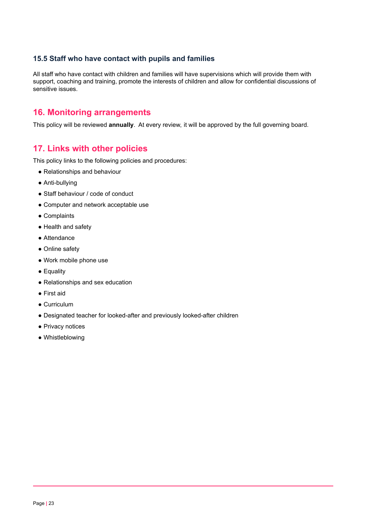#### **15.5 Staff who have contact with pupils and families**

All staff who have contact with children and families will have supervisions which will provide them with support, coaching and training, promote the interests of children and allow for confidential discussions of sensitive issues.

# <span id="page-22-0"></span>**16. Monitoring arrangements**

<span id="page-22-1"></span>This policy will be reviewed **annually**. At every review, it will be approved by the full governing board.

# **17. Links with other policies**

This policy links to the following policies and procedures:

- Relationships and behaviour
- Anti-bullying
- Staff behaviour / code of conduct
- Computer and network acceptable use
- Complaints
- Health and safety
- Attendance
- Online safety
- Work mobile phone use
- Equality
- Relationships and sex education
- First aid
- Curriculum
- Designated teacher for looked-after and previously looked-after children
- Privacy notices
- Whistleblowing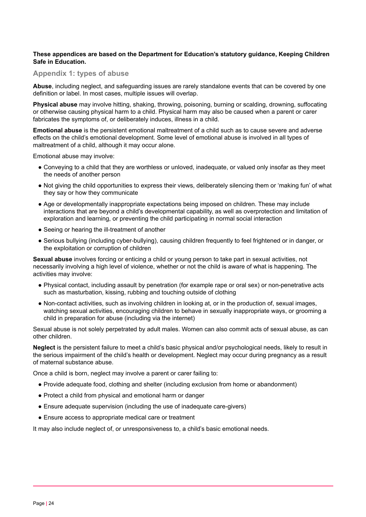#### <span id="page-23-0"></span>**These appendices are based on the Department for Education's statutory guidance, Keeping Children Safe in Education.**

#### **Appendix 1: types of abuse**

**Abuse**, including neglect, and safeguarding issues are rarely standalone events that can be covered by one definition or label. In most cases, multiple issues will overlap.

**Physical abuse** may involve hitting, shaking, throwing, poisoning, burning or scalding, drowning, suffocating or otherwise causing physical harm to a child. Physical harm may also be caused when a parent or carer fabricates the symptoms of, or deliberately induces, illness in a child.

**Emotional abuse** is the persistent emotional maltreatment of a child such as to cause severe and adverse effects on the child's emotional development. Some level of emotional abuse is involved in all types of maltreatment of a child, although it may occur alone.

Emotional abuse may involve:

- Conveying to a child that they are worthless or unloved, inadequate, or valued only insofar as they meet the needs of another person
- Not giving the child opportunities to express their views, deliberately silencing them or 'making fun' of what they say or how they communicate
- Age or developmentally inappropriate expectations being imposed on children. These may include interactions that are beyond a child's developmental capability, as well as overprotection and limitation of exploration and learning, or preventing the child participating in normal social interaction
- Seeing or hearing the ill-treatment of another
- Serious bullying (including cyber-bullying), causing children frequently to feel frightened or in danger, or the exploitation or corruption of children

**Sexual abuse** involves forcing or enticing a child or young person to take part in sexual activities, not necessarily involving a high level of violence, whether or not the child is aware of what is happening. The activities may involve:

- Physical contact, including assault by penetration (for example rape or oral sex) or non-penetrative acts such as masturbation, kissing, rubbing and touching outside of clothing
- Non-contact activities, such as involving children in looking at, or in the production of, sexual images, watching sexual activities, encouraging children to behave in sexually inappropriate ways, or grooming a child in preparation for abuse (including via the internet)

Sexual abuse is not solely perpetrated by adult males. Women can also commit acts of sexual abuse, as can other children.

**Neglect** is the persistent failure to meet a child's basic physical and/or psychological needs, likely to result in the serious impairment of the child's health or development. Neglect may occur during pregnancy as a result of maternal substance abuse.

Once a child is born, neglect may involve a parent or carer failing to:

- Provide adequate food, clothing and shelter (including exclusion from home or abandonment)
- Protect a child from physical and emotional harm or danger
- Ensure adequate supervision (including the use of inadequate care-givers)
- Ensure access to appropriate medical care or treatment

It may also include neglect of, or unresponsiveness to, a child's basic emotional needs.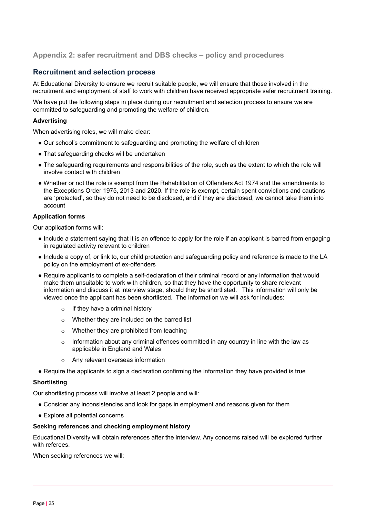#### <span id="page-24-0"></span>**Appendix 2: safer recruitment and DBS checks – policy and procedures**

#### **Recruitment and selection process**

At Educational Diversity to ensure we recruit suitable people, we will ensure that those involved in the recruitment and employment of staff to work with children have received appropriate safer recruitment training.

We have put the following steps in place during our recruitment and selection process to ensure we are committed to safeguarding and promoting the welfare of children.

#### **Advertising**

When advertising roles, we will make clear:

- Our school's commitment to safeguarding and promoting the welfare of children
- That safeguarding checks will be undertaken
- The safeguarding requirements and responsibilities of the role, such as the extent to which the role will involve contact with children
- Whether or not the role is exempt from the Rehabilitation of Offenders Act 1974 and the amendments to the Exceptions Order 1975, 2013 and 2020. If the role is exempt, certain spent convictions and cautions are 'protected', so they do not need to be disclosed, and if they are disclosed, we cannot take them into account

#### **Application forms**

Our application forms will:

- Include a statement saying that it is an offence to apply for the role if an applicant is barred from engaging in regulated activity relevant to children
- Include a copy of, or link to, our child protection and safeguarding policy and reference is made to the LA policy on the employment of ex-offenders
- Require applicants to complete a self-declaration of their criminal record or any information that would make them unsuitable to work with children, so that they have the opportunity to share relevant information and discuss it at interview stage, should they be shortlisted. This information will only be viewed once the applicant has been shortlisted. The information we will ask for includes:
	- $\circ$  If they have a criminal history
	- o Whether they are included on the barred list
	- o Whether they are prohibited from teaching
	- $\circ$  Information about any criminal offences committed in any country in line with the law as applicable in England and Wales
	- o Any relevant overseas information
- Require the applicants to sign a declaration confirming the information they have provided is true

#### **Shortlisting**

Our shortlisting process will involve at least 2 people and will:

- Consider any inconsistencies and look for gaps in employment and reasons given for them
- Explore all potential concerns

#### **Seeking references and checking employment history**

Educational Diversity will obtain references after the interview. Any concerns raised will be explored further with referees.

When seeking references we will: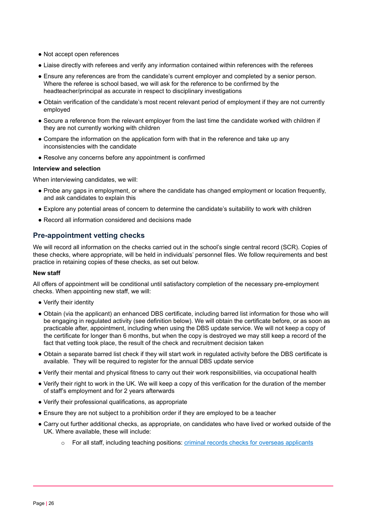- Not accept open references
- Liaise directly with referees and verify any information contained within references with the referees
- Ensure any references are from the candidate's current employer and completed by a senior person. Where the referee is school based, we will ask for the reference to be confirmed by the headteacher/principal as accurate in respect to disciplinary investigations
- Obtain verification of the candidate's most recent relevant period of employment if they are not currently employed
- Secure a reference from the relevant employer from the last time the candidate worked with children if they are not currently working with children
- Compare the information on the application form with that in the reference and take up any inconsistencies with the candidate
- Resolve any concerns before any appointment is confirmed

#### **Interview and selection**

When interviewing candidates, we will:

- Probe any gaps in employment, or where the candidate has changed employment or location frequently, and ask candidates to explain this
- Explore any potential areas of concern to determine the candidate's suitability to work with children
- Record all information considered and decisions made

#### **Pre-appointment vetting checks**

We will record all information on the checks carried out in the school's single central record (SCR). Copies of these checks, where appropriate, will be held in individuals' personnel files. We follow requirements and best practice in retaining copies of these checks, as set out below.

#### **New staff**

All offers of appointment will be conditional until satisfactory completion of the necessary pre-employment checks. When appointing new staff, we will:

- Verify their identity
- Obtain (via the applicant) an enhanced DBS certificate, including barred list information for those who will be engaging in regulated activity (see definition below). We will obtain the certificate before, or as soon as practicable after, appointment, including when using the DBS update service. We will not keep a copy of the certificate for longer than 6 months, but when the copy is destroyed we may still keep a record of the fact that vetting took place, the result of the check and recruitment decision taken
- Obtain a separate barred list check if they will start work in regulated activity before the DBS certificate is available. They will be required to register for the annual DBS update service
- Verify their mental and physical fitness to carry out their work responsibilities, via occupational health
- Verify their right to work in the UK. We will keep a copy of this verification for the duration of the member of staff's employment and for 2 years afterwards
- Verify their professional qualifications, as appropriate
- Ensure they are not subject to a prohibition order if they are employed to be a teacher
- Carry out further additional checks, as appropriate, on candidates who have lived or worked outside of the UK. Where available, these will include:
	- $\circ$  For all staff, including teaching positions: criminal records checks for overseas [applicants](https://www.gov.uk/government/publications/criminal-records-checks-for-overseas-applicants)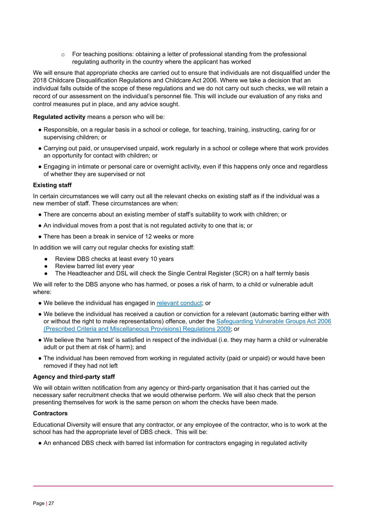$\circ$  For teaching positions: obtaining a letter of professional standing from the professional regulating authority in the country where the applicant has worked

We will ensure that appropriate checks are carried out to ensure that individuals are not disqualified under the 2018 Childcare Disqualification Regulations and Childcare Act 2006. Where we take a decision that an individual falls outside of the scope of these regulations and we do not carry out such checks, we will retain a record of our assessment on the individual's personnel file. This will include our evaluation of any risks and control measures put in place, and any advice sought.

**Regulated activity** means a person who will be:

- Responsible, on a regular basis in a school or college, for teaching, training, instructing, caring for or supervising children; or
- Carrying out paid, or unsupervised unpaid, work regularly in a school or college where that work provides an opportunity for contact with children; or
- Engaging in intimate or personal care or overnight activity, even if this happens only once and regardless of whether they are supervised or not

#### **Existing staff**

In certain circumstances we will carry out all the relevant checks on existing staff as if the individual was a new member of staff. These circumstances are when:

- There are concerns about an existing member of staff's suitability to work with children; or
- An individual moves from a post that is not regulated activity to one that is; or
- There has been a break in service of 12 weeks or more

In addition we will carry out regular checks for existing staff:

- Review DBS checks at least every 10 years
- Review barred list every year
- The Headteacher and DSL will check the Single Central Register (SCR) on a half termly basis

We will refer to the DBS anyone who has harmed, or poses a risk of harm, to a child or vulnerable adult where:

- We believe the individual has engaged in [relevant](https://www.gov.uk/guidance/making-barring-referrals-to-the-dbs#relevant-conduct-in-relation-to-children) conduct; or
- We believe the individual has received a caution or conviction for a relevant (automatic barring either with or without the right to make representations) offence, under the [Safeguarding](http://www.legislation.gov.uk/uksi/2009/37/contents/made) Vulnerable Groups Act 2006 (Prescribed Criteria and [Miscellaneous](http://www.legislation.gov.uk/uksi/2009/37/contents/made) Provisions) Regulations 2009; or
- We believe the 'harm test' is satisfied in respect of the individual (i.e. they may harm a child or vulnerable adult or put them at risk of harm); and
- The individual has been removed from working in regulated activity (paid or unpaid) or would have been removed if they had not left

#### **Agency and third-party staff**

We will obtain written notification from any agency or third-party organisation that it has carried out the necessary safer recruitment checks that we would otherwise perform. We will also check that the person presenting themselves for work is the same person on whom the checks have been made.

#### **Contractors**

Educational Diversity will ensure that any contractor, or any employee of the contractor, who is to work at the school has had the appropriate level of DBS check. This will be:

• An enhanced DBS check with barred list information for contractors engaging in regulated activity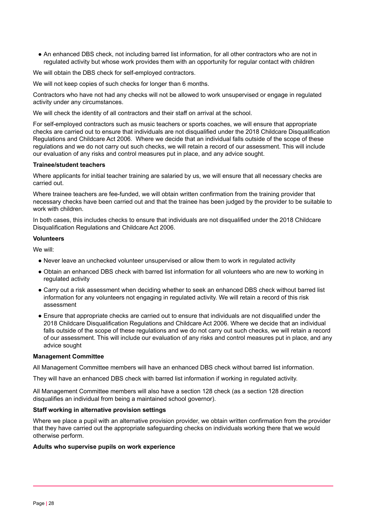• An enhanced DBS check, not including barred list information, for all other contractors who are not in regulated activity but whose work provides them with an opportunity for regular contact with children

We will obtain the DBS check for self-employed contractors.

We will not keep copies of such checks for longer than 6 months.

Contractors who have not had any checks will not be allowed to work unsupervised or engage in regulated activity under any circumstances.

We will check the identity of all contractors and their staff on arrival at the school.

For self-employed contractors such as music teachers or sports coaches, we will ensure that appropriate checks are carried out to ensure that individuals are not disqualified under the 2018 Childcare Disqualification Regulations and Childcare Act 2006. Where we decide that an individual falls outside of the scope of these regulations and we do not carry out such checks, we will retain a record of our assessment. This will include our evaluation of any risks and control measures put in place, and any advice sought.

#### **Trainee/student teachers**

Where applicants for initial teacher training are salaried by us, we will ensure that all necessary checks are carried out.

Where trainee teachers are fee-funded, we will obtain written confirmation from the training provider that necessary checks have been carried out and that the trainee has been judged by the provider to be suitable to work with children.

In both cases, this includes checks to ensure that individuals are not disqualified under the 2018 Childcare Disqualification Regulations and Childcare Act 2006.

#### **Volunteers**

We will:

- Never leave an unchecked volunteer unsupervised or allow them to work in regulated activity
- Obtain an enhanced DBS check with barred list information for all volunteers who are new to working in regulated activity
- Carry out a risk assessment when deciding whether to seek an enhanced DBS check without barred list information for any volunteers not engaging in regulated activity. We will retain a record of this risk assessment
- Ensure that appropriate checks are carried out to ensure that individuals are not disqualified under the 2018 Childcare Disqualification Regulations and Childcare Act 2006. Where we decide that an individual falls outside of the scope of these regulations and we do not carry out such checks, we will retain a record of our assessment. This will include our evaluation of any risks and control measures put in place, and any advice sought

#### **Management Committee**

All Management Committee members will have an enhanced DBS check without barred list information.

They will have an enhanced DBS check with barred list information if working in regulated activity.

All Management Committee members will also have a section 128 check (as a section 128 direction disqualifies an individual from being a maintained school governor).

#### **Staff working in alternative provision settings**

Where we place a pupil with an alternative provision provider, we obtain written confirmation from the provider that they have carried out the appropriate safeguarding checks on individuals working there that we would otherwise perform.

#### **Adults who supervise pupils on work experience**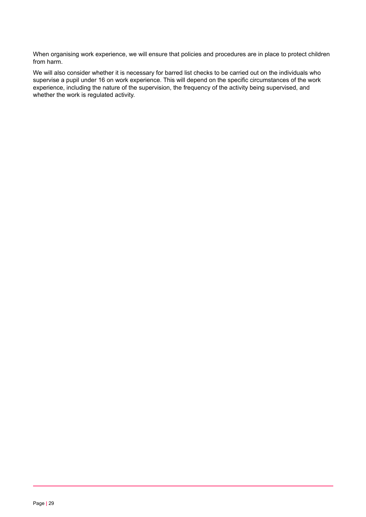When organising work experience, we will ensure that policies and procedures are in place to protect children from harm.

We will also consider whether it is necessary for barred list checks to be carried out on the individuals who supervise a pupil under 16 on work experience. This will depend on the specific circumstances of the work experience, including the nature of the supervision, the frequency of the activity being supervised, and whether the work is regulated activity.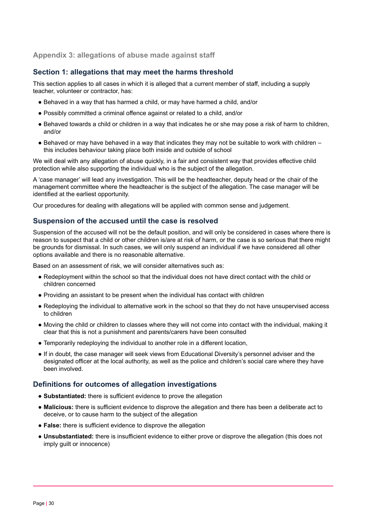<span id="page-29-0"></span>**Appendix 3: allegations of abuse made against staff**

#### **Section 1: allegations that may meet the harms threshold**

This section applies to all cases in which it is alleged that a current member of staff, including a supply teacher, volunteer or contractor, has:

- Behaved in a way that has harmed a child, or may have harmed a child, and/or
- Possibly committed a criminal offence against or related to a child, and/or
- Behaved towards a child or children in a way that indicates he or she may pose a risk of harm to children, and/or
- $\bullet$  Behaved or may have behaved in a way that indicates they may not be suitable to work with children this includes behaviour taking place both inside and outside of school

We will deal with any allegation of abuse quickly, in a fair and consistent way that provides effective child protection while also supporting the individual who is the subject of the allegation.

A 'case manager' will lead any investigation. This will be the headteacher, deputy head or the chair of the management committee where the headteacher is the subject of the allegation. The case manager will be identified at the earliest opportunity.

Our procedures for dealing with allegations will be applied with common sense and judgement.

#### **Suspension of the accused until the case is resolved**

Suspension of the accused will not be the default position, and will only be considered in cases where there is reason to suspect that a child or other children is/are at risk of harm, or the case is so serious that there might be grounds for dismissal. In such cases, we will only suspend an individual if we have considered all other options available and there is no reasonable alternative.

Based on an assessment of risk, we will consider alternatives such as:

- Redeployment within the school so that the individual does not have direct contact with the child or children concerned
- Providing an assistant to be present when the individual has contact with children
- Redeploying the individual to alternative work in the school so that they do not have unsupervised access to children
- Moving the child or children to classes where they will not come into contact with the individual, making it clear that this is not a punishment and parents/carers have been consulted
- Temporarily redeploying the individual to another role in a different location,
- If in doubt, the case manager will seek views from Educational Diversity's personnel adviser and the designated officer at the local authority, as well as the police and children's social care where they have been involved.

#### **Definitions for outcomes of allegation investigations**

- **Substantiated:** there is sufficient evidence to prove the allegation
- **Malicious:** there is sufficient evidence to disprove the allegation and there has been a deliberate act to deceive, or to cause harm to the subject of the allegation
- **False:** there is sufficient evidence to disprove the allegation
- **Unsubstantiated:** there is insufficient evidence to either prove or disprove the allegation (this does not imply guilt or innocence)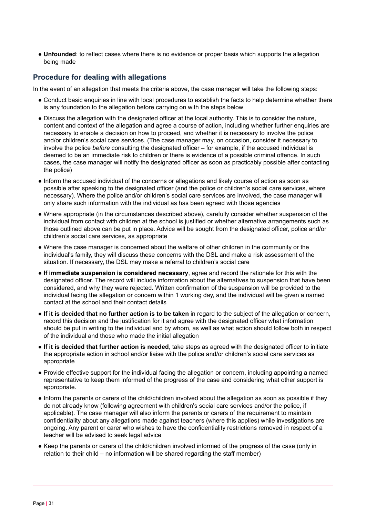● **Unfounded**: to reflect cases where there is no evidence or proper basis which supports the allegation being made

#### **Procedure for dealing with allegations**

In the event of an allegation that meets the criteria above, the case manager will take the following steps:

- Conduct basic enquiries in line with local procedures to establish the facts to help determine whether there is any foundation to the allegation before carrying on with the steps below
- Discuss the allegation with the designated officer at the local authority. This is to consider the nature, content and context of the allegation and agree a course of action, including whether further enquiries are necessary to enable a decision on how to proceed, and whether it is necessary to involve the police and/or children's social care services. (The case manager may, on occasion, consider it necessary to involve the police *before* consulting the designated officer – for example, if the accused individual is deemed to be an immediate risk to children or there is evidence of a possible criminal offence. In such cases, the case manager will notify the designated officer as soon as practicably possible after contacting the police)
- Inform the accused individual of the concerns or allegations and likely course of action as soon as possible after speaking to the designated officer (and the police or children's social care services, where necessary). Where the police and/or children's social care services are involved, the case manager will only share such information with the individual as has been agreed with those agencies
- Where appropriate (in the circumstances described above), carefully consider whether suspension of the individual from contact with children at the school is justified or whether alternative arrangements such as those outlined above can be put in place. Advice will be sought from the designated officer, police and/or children's social care services, as appropriate
- Where the case manager is concerned about the welfare of other children in the community or the individual's family, they will discuss these concerns with the DSL and make a risk assessment of the situation. If necessary, the DSL may make a referral to children's social care
- **If immediate suspension is considered necessary**, agree and record the rationale for this with the designated officer. The record will include information about the alternatives to suspension that have been considered, and why they were rejected. Written confirmation of the suspension will be provided to the individual facing the allegation or concern within 1 working day, and the individual will be given a named contact at the school and their contact details
- **If it is decided that no further action is to be taken** in regard to the subject of the allegation or concern, record this decision and the justification for it and agree with the designated officer what information should be put in writing to the individual and by whom, as well as what action should follow both in respect of the individual and those who made the initial allegation
- **If it is decided that further action is needed**, take steps as agreed with the designated officer to initiate the appropriate action in school and/or liaise with the police and/or children's social care services as appropriate
- Provide effective support for the individual facing the allegation or concern, including appointing a named representative to keep them informed of the progress of the case and considering what other support is appropriate.
- Inform the parents or carers of the child/children involved about the allegation as soon as possible if they do not already know (following agreement with children's social care services and/or the police, if applicable). The case manager will also inform the parents or carers of the requirement to maintain confidentiality about any allegations made against teachers (where this applies) while investigations are ongoing. Any parent or carer who wishes to have the confidentiality restrictions removed in respect of a teacher will be advised to seek legal advice
- Keep the parents or carers of the child/children involved informed of the progress of the case (only in relation to their child – no information will be shared regarding the staff member)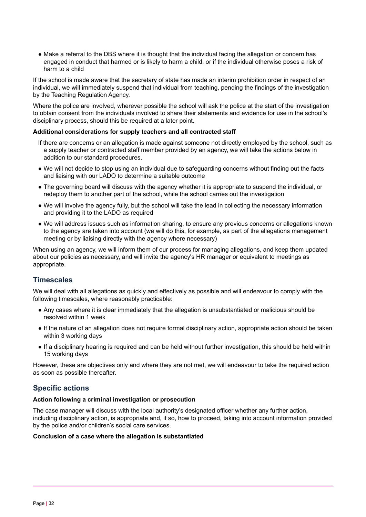• Make a referral to the DBS where it is thought that the individual facing the allegation or concern has engaged in conduct that harmed or is likely to harm a child, or if the individual otherwise poses a risk of harm to a child

If the school is made aware that the secretary of state has made an interim prohibition order in respect of an individual, we will immediately suspend that individual from teaching, pending the findings of the investigation by the Teaching Regulation Agency.

Where the police are involved, wherever possible the school will ask the police at the start of the investigation to obtain consent from the individuals involved to share their statements and evidence for use in the school's disciplinary process, should this be required at a later point.

#### **Additional considerations for supply teachers and all contracted staff**

- If there are concerns or an allegation is made against someone not directly employed by the school, such as a supply teacher or contracted staff member provided by an agency, we will take the actions below in addition to our standard procedures.
- We will not decide to stop using an individual due to safeguarding concerns without finding out the facts and liaising with our LADO to determine a suitable outcome
- The governing board will discuss with the agency whether it is appropriate to suspend the individual, or redeploy them to another part of the school, while the school carries out the investigation
- We will involve the agency fully, but the school will take the lead in collecting the necessary information and providing it to the LADO as required
- We will address issues such as information sharing, to ensure any previous concerns or allegations known to the agency are taken into account (we will do this, for example, as part of the allegations management meeting or by liaising directly with the agency where necessary)

When using an agency, we will inform them of our process for managing allegations, and keep them updated about our policies as necessary, and will invite the agency's HR manager or equivalent to meetings as appropriate.

#### **Timescales**

We will deal with all allegations as quickly and effectively as possible and will endeavour to comply with the following timescales, where reasonably practicable:

- Any cases where it is clear immediately that the allegation is unsubstantiated or malicious should be resolved within 1 week
- If the nature of an allegation does not require formal disciplinary action, appropriate action should be taken within 3 working days
- If a disciplinary hearing is required and can be held without further investigation, this should be held within 15 working days

However, these are objectives only and where they are not met, we will endeavour to take the required action as soon as possible thereafter.

#### **Specific actions**

#### **Action following a criminal investigation or prosecution**

The case manager will discuss with the local authority's designated officer whether any further action, including disciplinary action, is appropriate and, if so, how to proceed, taking into account information provided by the police and/or children's social care services.

#### **Conclusion of a case where the allegation is substantiated**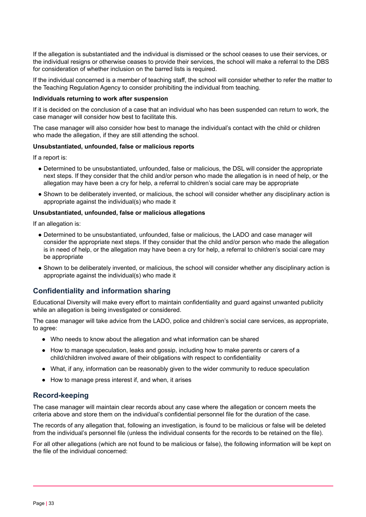If the allegation is substantiated and the individual is dismissed or the school ceases to use their services, or the individual resigns or otherwise ceases to provide their services, the school will make a referral to the DBS for consideration of whether inclusion on the barred lists is required.

If the individual concerned is a member of teaching staff, the school will consider whether to refer the matter to the Teaching Regulation Agency to consider prohibiting the individual from teaching.

#### **Individuals returning to work after suspension**

If it is decided on the conclusion of a case that an individual who has been suspended can return to work, the case manager will consider how best to facilitate this.

The case manager will also consider how best to manage the individual's contact with the child or children who made the allegation, if they are still attending the school.

#### **Unsubstantiated, unfounded, false or malicious reports**

If a report is:

- Determined to be unsubstantiated, unfounded, false or malicious, the DSL will consider the appropriate next steps. If they consider that the child and/or person who made the allegation is in need of help, or the allegation may have been a cry for help, a referral to children's social care may be appropriate
- Shown to be deliberately invented, or malicious, the school will consider whether any disciplinary action is appropriate against the individual(s) who made it

#### **Unsubstantiated, unfounded, false or malicious allegations**

If an allegation is:

- Determined to be unsubstantiated, unfounded, false or malicious, the LADO and case manager will consider the appropriate next steps. If they consider that the child and/or person who made the allegation is in need of help, or the allegation may have been a cry for help, a referral to children's social care may be appropriate
- Shown to be deliberately invented, or malicious, the school will consider whether any disciplinary action is appropriate against the individual(s) who made it

#### **Confidentiality and information sharing**

Educational Diversity will make every effort to maintain confidentiality and guard against unwanted publicity while an allegation is being investigated or considered.

The case manager will take advice from the LADO, police and children's social care services, as appropriate, to agree:

- Who needs to know about the allegation and what information can be shared
- How to manage speculation, leaks and gossip, including how to make parents or carers of a child/children involved aware of their obligations with respect to confidentiality
- What, if any, information can be reasonably given to the wider community to reduce speculation
- How to manage press interest if, and when, it arises

#### **Record-keeping**

The case manager will maintain clear records about any case where the allegation or concern meets the criteria above and store them on the individual's confidential personnel file for the duration of the case.

The records of any allegation that, following an investigation, is found to be malicious or false will be deleted from the individual's personnel file (unless the individual consents for the records to be retained on the file).

For all other allegations (which are not found to be malicious or false), the following information will be kept on the file of the individual concerned: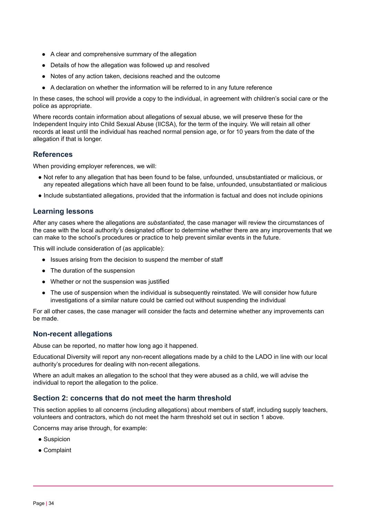- A clear and comprehensive summary of the allegation
- Details of how the allegation was followed up and resolved
- Notes of any action taken, decisions reached and the outcome
- A declaration on whether the information will be referred to in any future reference

In these cases, the school will provide a copy to the individual, in agreement with children's social care or the police as appropriate.

Where records contain information about allegations of sexual abuse, we will preserve these for the Independent Inquiry into Child Sexual Abuse (IICSA), for the term of the inquiry. We will retain all other records at least until the individual has reached normal pension age, or for 10 years from the date of the allegation if that is longer.

#### **References**

When providing employer references, we will:

- Not refer to any allegation that has been found to be false, unfounded, unsubstantiated or malicious, or any repeated allegations which have all been found to be false, unfounded, unsubstantiated or malicious
- Include substantiated allegations, provided that the information is factual and does not include opinions

#### **Learning lessons**

After any cases where the allegations are *substantiated*, the case manager will review the circumstances of the case with the local authority's designated officer to determine whether there are any improvements that we can make to the school's procedures or practice to help prevent similar events in the future.

This will include consideration of (as applicable):

- Issues arising from the decision to suspend the member of staff
- The duration of the suspension
- Whether or not the suspension was justified
- The use of suspension when the individual is subsequently reinstated. We will consider how future investigations of a similar nature could be carried out without suspending the individual

For all other cases, the case manager will consider the facts and determine whether any improvements can be made.

#### **Non-recent allegations**

Abuse can be reported, no matter how long ago it happened.

Educational Diversity will report any non-recent allegations made by a child to the LADO in line with our local authority's procedures for dealing with non-recent allegations.

Where an adult makes an allegation to the school that they were abused as a child, we will advise the individual to report the allegation to the police.

#### **Section 2: concerns that do not meet the harm threshold**

This section applies to all concerns (including allegations) about members of staff, including supply teachers, volunteers and contractors, which do not meet the harm threshold set out in section 1 above.

Concerns may arise through, for example:

- Suspicion
- Complaint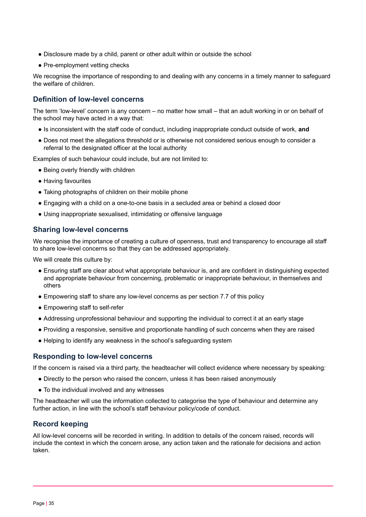- Disclosure made by a child, parent or other adult within or outside the school
- Pre-employment vetting checks

We recognise the importance of responding to and dealing with any concerns in a timely manner to safeguard the welfare of children.

#### **Definition of low-level concerns**

The term 'low-level' concern is any concern – no matter how small – that an adult working in or on behalf of the school may have acted in a way that:

- Is inconsistent with the staff code of conduct, including inappropriate conduct outside of work, **and**
- Does not meet the allegations threshold or is otherwise not considered serious enough to consider a referral to the designated officer at the local authority

Examples of such behaviour could include, but are not limited to:

- Being overly friendly with children
- Having favourites
- Taking photographs of children on their mobile phone
- Engaging with a child on a one-to-one basis in a secluded area or behind a closed door
- Using inappropriate sexualised, intimidating or offensive language

#### **Sharing low-level concerns**

We recognise the importance of creating a culture of openness, trust and transparency to encourage all staff to share low-level concerns so that they can be addressed appropriately.

We will create this culture by:

- Ensuring staff are clear about what appropriate behaviour is, and are confident in distinguishing expected and appropriate behaviour from concerning, problematic or inappropriate behaviour, in themselves and others
- Empowering staff to share any low-level concerns as per section 7.7 of this policy
- Empowering staff to self-refer
- Addressing unprofessional behaviour and supporting the individual to correct it at an early stage
- Providing a responsive, sensitive and proportionate handling of such concerns when they are raised
- Helping to identify any weakness in the school's safeguarding system

#### **Responding to low-level concerns**

If the concern is raised via a third party, the headteacher will collect evidence where necessary by speaking:

- Directly to the person who raised the concern, unless it has been raised anonymously
- To the individual involved and any witnesses

The headteacher will use the information collected to categorise the type of behaviour and determine any further action, in line with the school's staff behaviour policy/code of conduct.

#### **Record keeping**

All low-level concerns will be recorded in writing. In addition to details of the concern raised, records will include the context in which the concern arose, any action taken and the rationale for decisions and action taken.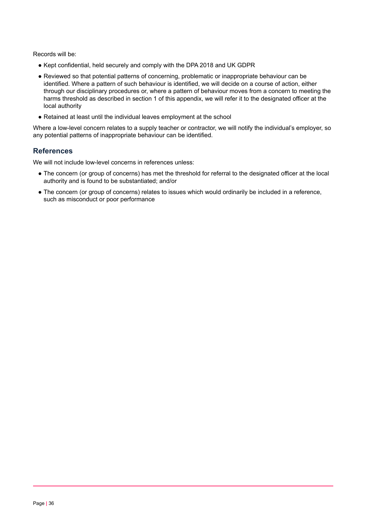Records will be:

- Kept confidential, held securely and comply with the DPA 2018 and UK GDPR
- Reviewed so that potential patterns of concerning, problematic or inappropriate behaviour can be identified. Where a pattern of such behaviour is identified, we will decide on a course of action, either through our disciplinary procedures or, where a pattern of behaviour moves from a concern to meeting the harms threshold as described in section 1 of this appendix, we will refer it to the designated officer at the local authority
- Retained at least until the individual leaves employment at the school

Where a low-level concern relates to a supply teacher or contractor, we will notify the individual's employer, so any potential patterns of inappropriate behaviour can be identified.

#### **References**

We will not include low-level concerns in references unless:

- The concern (or group of concerns) has met the threshold for referral to the designated officer at the local authority and is found to be substantiated; and/or
- The concern (or group of concerns) relates to issues which would ordinarily be included in a reference, such as misconduct or poor performance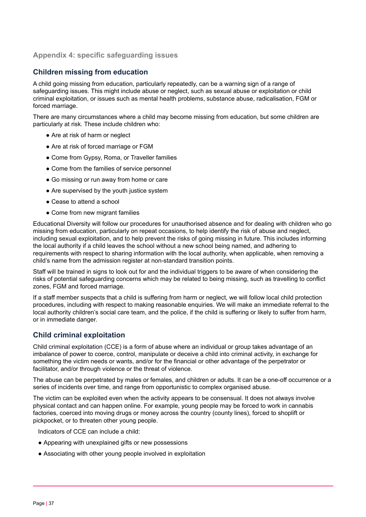#### **Appendix 4: specific safeguarding issues**

#### **Children missing from education**

A child going missing from education, particularly repeatedly, can be a warning sign of a range of safeguarding issues. This might include abuse or neglect, such as sexual abuse or exploitation or child criminal exploitation, or issues such as mental health problems, substance abuse, radicalisation, FGM or forced marriage.

There are many circumstances where a child may become missing from education, but some children are particularly at risk. These include children who:

- Are at risk of harm or neglect
- Are at risk of forced marriage or FGM
- Come from Gypsy, Roma, or Traveller families
- Come from the families of service personnel
- Go missing or run away from home or care
- Are supervised by the youth justice system
- Cease to attend a school
- Come from new migrant families

Educational Diversity will follow our procedures for unauthorised absence and for dealing with children who go missing from education, particularly on repeat occasions, to help identify the risk of abuse and neglect, including sexual exploitation, and to help prevent the risks of going missing in future. This includes informing the local authority if a child leaves the school without a new school being named, and adhering to requirements with respect to sharing information with the local authority, when applicable, when removing a child's name from the admission register at non-standard transition points.

Staff will be trained in signs to look out for and the individual triggers to be aware of when considering the risks of potential safeguarding concerns which may be related to being missing, such as travelling to conflict zones, FGM and forced marriage.

If a staff member suspects that a child is suffering from harm or neglect, we will follow local child protection procedures, including with respect to making reasonable enquiries. We will make an immediate referral to the local authority children's social care team, and the police, if the child is suffering or likely to suffer from harm, or in immediate danger.

#### **Child criminal exploitation**

Child criminal exploitation (CCE) is a form of abuse where an individual or group takes advantage of an imbalance of power to coerce, control, manipulate or deceive a child into criminal activity, in exchange for something the victim needs or wants, and/or for the financial or other advantage of the perpetrator or facilitator, and/or through violence or the threat of violence.

The abuse can be perpetrated by males or females, and children or adults. It can be a one-off occurrence or a series of incidents over time, and range from opportunistic to complex organised abuse.

The victim can be exploited even when the activity appears to be consensual. It does not always involve physical contact and can happen online. For example, young people may be forced to work in cannabis factories, coerced into moving drugs or money across the country (county lines), forced to shoplift or pickpocket, or to threaten other young people.

Indicators of CCE can include a child:

- Appearing with unexplained gifts or new possessions
- Associating with other young people involved in exploitation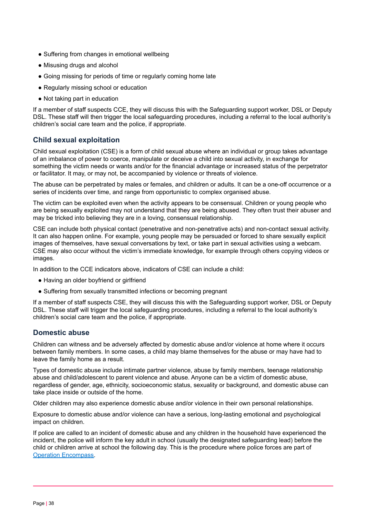- Suffering from changes in emotional wellbeing
- Misusing drugs and alcohol
- Going missing for periods of time or regularly coming home late
- Regularly missing school or education
- Not taking part in education

If a member of staff suspects CCE, they will discuss this with the Safeguarding support worker, DSL or Deputy DSL. These staff will then trigger the local safeguarding procedures, including a referral to the local authority's children's social care team and the police, if appropriate.

#### **Child sexual exploitation**

Child sexual exploitation (CSE) is a form of child sexual abuse where an individual or group takes advantage of an imbalance of power to coerce, manipulate or deceive a child into sexual activity, in exchange for something the victim needs or wants and/or for the financial advantage or increased status of the perpetrator or facilitator. It may, or may not, be accompanied by violence or threats of violence.

The abuse can be perpetrated by males or females, and children or adults. It can be a one-off occurrence or a series of incidents over time, and range from opportunistic to complex organised abuse.

The victim can be exploited even when the activity appears to be consensual. Children or young people who are being sexually exploited may not understand that they are being abused. They often trust their abuser and may be tricked into believing they are in a loving, consensual relationship.

CSE can include both physical contact (penetrative and non-penetrative acts) and non-contact sexual activity. It can also happen online. For example, young people may be persuaded or forced to share sexually explicit images of themselves, have sexual conversations by text, or take part in sexual activities using a webcam. CSE may also occur without the victim's immediate knowledge, for example through others copying videos or images.

In addition to the CCE indicators above, indicators of CSE can include a child:

- Having an older boyfriend or girlfriend
- Suffering from sexually transmitted infections or becoming pregnant

If a member of staff suspects CSE, they will discuss this with the Safeguarding support worker, DSL or Deputy DSL. These staff will trigger the local safeguarding procedures, including a referral to the local authority's children's social care team and the police, if appropriate.

#### **Domestic abuse**

Children can witness and be adversely affected by domestic abuse and/or violence at home where it occurs between family members. In some cases, a child may blame themselves for the abuse or may have had to leave the family home as a result.

Types of domestic abuse include intimate partner violence, abuse by family members, teenage relationship abuse and child/adolescent to parent violence and abuse. Anyone can be a victim of domestic abuse, regardless of gender, age, ethnicity, socioeconomic status, sexuality or background, and domestic abuse can take place inside or outside of the home.

Older children may also experience domestic abuse and/or violence in their own personal relationships.

Exposure to domestic abuse and/or violence can have a serious, long-lasting emotional and psychological impact on children.

If police are called to an incident of domestic abuse and any children in the household have experienced the incident, the police will inform the key adult in school (usually the designated safeguarding lead) before the child or children arrive at school the following day. This is the procedure where police forces are part of Operation [Encompass.](https://www.operationencompass.org/)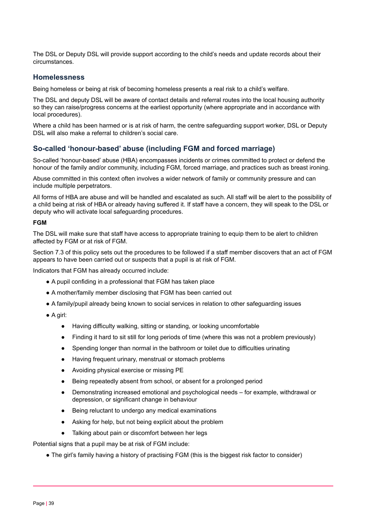The DSL or Deputy DSL will provide support according to the child's needs and update records about their circumstances.

#### **Homelessness**

Being homeless or being at risk of becoming homeless presents a real risk to a child's welfare.

The DSL and deputy DSL will be aware of contact details and referral routes into the local housing authority so they can raise/progress concerns at the earliest opportunity (where appropriate and in accordance with local procedures).

Where a child has been harmed or is at risk of harm, the centre safeguarding support worker, DSL or Deputy DSL will also make a referral to children's social care.

#### **So-called 'honour-based' abuse (including FGM and forced marriage)**

So-called 'honour-based' abuse (HBA) encompasses incidents or crimes committed to protect or defend the honour of the family and/or community, including FGM, forced marriage, and practices such as breast ironing.

Abuse committed in this context often involves a wider network of family or community pressure and can include multiple perpetrators.

All forms of HBA are abuse and will be handled and escalated as such. All staff will be alert to the possibility of a child being at risk of HBA or already having suffered it. If staff have a concern, they will speak to the DSL or deputy who will activate local safeguarding procedures.

#### **FGM**

The DSL will make sure that staff have access to appropriate training to equip them to be alert to children affected by FGM or at risk of FGM.

Section 7.3 of this policy sets out the procedures to be followed if a staff member discovers that an act of FGM appears to have been carried out or suspects that a pupil is at risk of FGM.

Indicators that FGM has already occurred include:

- A pupil confiding in a professional that FGM has taken place
- A mother/family member disclosing that FGM has been carried out
- A family/pupil already being known to social services in relation to other safeguarding issues
- A girl:
	- Having difficulty walking, sitting or standing, or looking uncomfortable
	- Finding it hard to sit still for long periods of time (where this was not a problem previously)
	- Spending longer than normal in the bathroom or toilet due to difficulties urinating
	- Having frequent urinary, menstrual or stomach problems
	- Avoiding physical exercise or missing PE
	- Being repeatedly absent from school, or absent for a prolonged period
	- Demonstrating increased emotional and psychological needs for example, withdrawal or depression, or significant change in behaviour
	- Being reluctant to undergo any medical examinations
	- Asking for help, but not being explicit about the problem
	- Talking about pain or discomfort between her legs

Potential signs that a pupil may be at risk of FGM include:

• The girl's family having a history of practising FGM (this is the biggest risk factor to consider)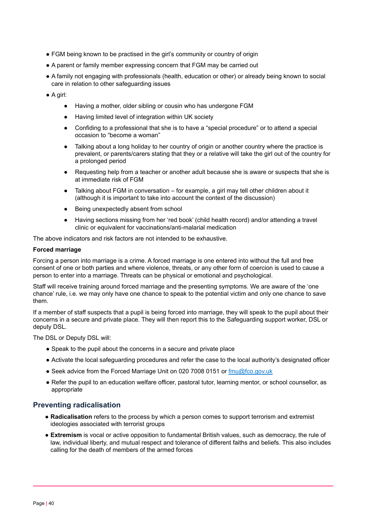- FGM being known to be practised in the girl's community or country of origin
- A parent or family member expressing concern that FGM may be carried out
- A family not engaging with professionals (health, education or other) or already being known to social care in relation to other safeguarding issues
- A girl:
	- Having a mother, older sibling or cousin who has undergone FGM
	- Having limited level of integration within UK society
	- Confiding to a professional that she is to have a "special procedure" or to attend a special occasion to "become a woman"
	- Talking about a long holiday to her country of origin or another country where the practice is prevalent, or parents/carers stating that they or a relative will take the girl out of the country for a prolonged period
	- Requesting help from a teacher or another adult because she is aware or suspects that she is at immediate risk of FGM
	- Talking about FGM in conversation for example, a girl may tell other children about it (although it is important to take into account the context of the discussion)
	- Being unexpectedly absent from school
	- Having sections missing from her 'red book' (child health record) and/or attending a travel clinic or equivalent for vaccinations/anti-malarial medication

The above indicators and risk factors are not intended to be exhaustive.

#### **Forced marriage**

Forcing a person into marriage is a crime. A forced marriage is one entered into without the full and free consent of one or both parties and where violence, threats, or any other form of coercion is used to cause a person to enter into a marriage. Threats can be physical or emotional and psychological.

Staff will receive training around forced marriage and the presenting symptoms. We are aware of the 'one chance' rule, i.e. we may only have one chance to speak to the potential victim and only one chance to save them.

If a member of staff suspects that a pupil is being forced into marriage, they will speak to the pupil about their concerns in a secure and private place. They will then report this to the Safeguarding support worker, DSL or deputy DSL.

The DSL or Deputy DSL will:

- Speak to the pupil about the concerns in a secure and private place
- Activate the local safeguarding procedures and refer the case to the local authority's designated officer
- Seek advice from the Forced Marriage Unit on 020 7008 0151 or [fmu@fco.gov.uk](mailto:fmu@fco.gov.uk)
- Refer the pupil to an education welfare officer, pastoral tutor, learning mentor, or school counsellor, as appropriate

#### **Preventing radicalisation**

- **Radicalisation** refers to the process by which a person comes to support terrorism and extremist ideologies associated with terrorist groups
- **Extremism** is vocal or active opposition to fundamental British values, such as democracy, the rule of law, individual liberty, and mutual respect and tolerance of different faiths and beliefs. This also includes calling for the death of members of the armed forces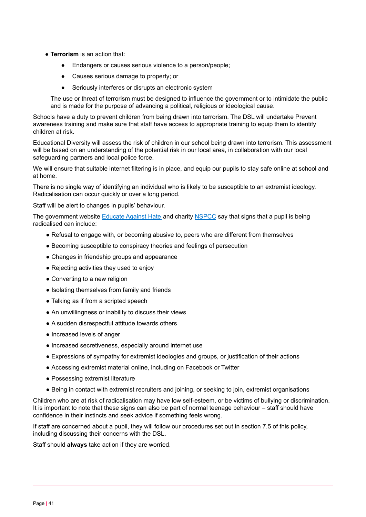- **Terrorism** is an action that:
	- Endangers or causes serious violence to a person/people;
	- Causes serious damage to property; or
	- Seriously interferes or disrupts an electronic system

The use or threat of terrorism must be designed to influence the government or to intimidate the public and is made for the purpose of advancing a political, religious or ideological cause.

Schools have a duty to prevent children from being drawn into terrorism. The DSL will undertake Prevent awareness training and make sure that staff have access to appropriate training to equip them to identify children at risk.

Educational Diversity will assess the risk of children in our school being drawn into terrorism. This assessment will be based on an understanding of the potential risk in our local area, in collaboration with our local safeguarding partners and local police force.

We will ensure that suitable internet filtering is in place, and equip our pupils to stay safe online at school and at home.

There is no single way of identifying an individual who is likely to be susceptible to an extremist ideology. Radicalisation can occur quickly or over a long period.

Staff will be alert to changes in pupils' behaviour.

The government website [Educate](http://educateagainsthate.com/parents/what-are-the-warning-signs/) Against Hate and charity [NSPCC](https://www.nspcc.org.uk/what-you-can-do/report-abuse/dedicated-helplines/protecting-children-from-radicalisation/) say that signs that a pupil is being radicalised can include:

- Refusal to engage with, or becoming abusive to, peers who are different from themselves
- Becoming susceptible to conspiracy theories and feelings of persecution
- Changes in friendship groups and appearance
- Rejecting activities they used to enjoy
- Converting to a new religion
- Isolating themselves from family and friends
- Talking as if from a scripted speech
- An unwillingness or inability to discuss their views
- A sudden disrespectful attitude towards others
- Increased levels of anger
- Increased secretiveness, especially around internet use
- Expressions of sympathy for extremist ideologies and groups, or justification of their actions
- Accessing extremist material online, including on Facebook or Twitter
- Possessing extremist literature
- Being in contact with extremist recruiters and joining, or seeking to join, extremist organisations

Children who are at risk of radicalisation may have low self-esteem, or be victims of bullying or discrimination. It is important to note that these signs can also be part of normal teenage behaviour – staff should have confidence in their instincts and seek advice if something feels wrong.

If staff are concerned about a pupil, they will follow our procedures set out in section 7.5 of this policy, including discussing their concerns with the DSL.

Staff should **always** take action if they are worried.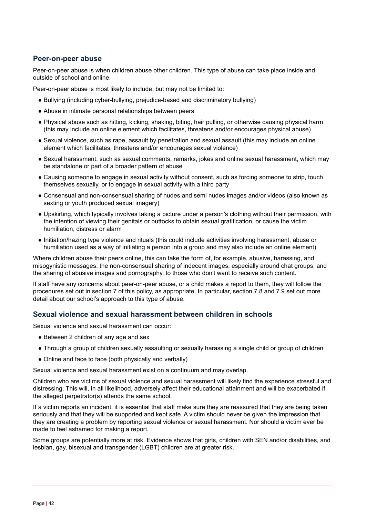#### **Peer-on-peer abuse**

Peer-on-peer abuse is when children abuse other children. This type of abuse can take place inside and outside of school and online.

Peer-on-peer abuse is most likely to include, but may not be limited to:

- Bullying (including cyber-bullying, prejudice-based and discriminatory bullying)
- Abuse in intimate personal relationships between peers
- Physical abuse such as hitting, kicking, shaking, biting, hair pulling, or otherwise causing physical harm (this may include an online element which facilitates, threatens and/or encourages physical abuse)
- Sexual violence, such as rape, assault by penetration and sexual assault (this may include an online element which facilitates, threatens and/or encourages sexual violence)
- Sexual harassment, such as sexual comments, remarks, jokes and online sexual harassment, which may be standalone or part of a broader pattern of abuse
- Causing someone to engage in sexual activity without consent, such as forcing someone to strip, touch themselves sexually, or to engage in sexual activity with a third party
- Consensual and non-consensual sharing of nudes and semi nudes images and/or videos (also known as sexting or youth produced sexual imagery)
- Upskirting, which typically involves taking a picture under a person's clothing without their permission, with the intention of viewing their genitals or buttocks to obtain sexual gratification, or cause the victim humiliation, distress or alarm
- Initiation/hazing type violence and rituals (this could include activities involving harassment, abuse or humiliation used as a way of initiating a person into a group and may also include an online element)

Where children abuse their peers online, this can take the form of, for example, abusive, harassing, and misogynistic messages; the non-consensual sharing of indecent images, especially around chat groups; and the sharing of abusive images and pornography, to those who don't want to receive such content.

If staff have any concerns about peer-on-peer abuse, or a child makes a report to them, they will follow the procedures set out in section 7 of this policy, as appropriate. In particular, section 7.8 and 7.9 set out more detail about our school's approach to this type of abuse.

#### **Sexual violence and sexual harassment between children in schools**

Sexual violence and sexual harassment can occur:

- Between 2 children of any age and sex
- Through a group of children sexually assaulting or sexually harassing a single child or group of children
- Online and face to face (both physically and verbally)

Sexual violence and sexual harassment exist on a continuum and may overlap.

Children who are victims of sexual violence and sexual harassment will likely find the experience stressful and distressing. This will, in all likelihood, adversely affect their educational attainment and will be exacerbated if the alleged perpetrator(s) attends the same school.

If a victim reports an incident, it is essential that staff make sure they are reassured that they are being taken seriously and that they will be supported and kept safe. A victim should never be given the impression that they are creating a problem by reporting sexual violence or sexual harassment. Nor should a victim ever be made to feel ashamed for making a report.

Some groups are potentially more at risk. Evidence shows that girls, children with SEN and/or disabilities, and lesbian, gay, bisexual and transgender (LGBT) children are at greater risk.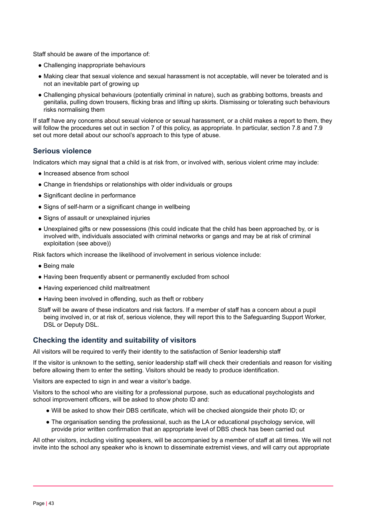Staff should be aware of the importance of:

- Challenging inappropriate behaviours
- Making clear that sexual violence and sexual harassment is not acceptable, will never be tolerated and is not an inevitable part of growing up
- Challenging physical behaviours (potentially criminal in nature), such as grabbing bottoms, breasts and genitalia, pulling down trousers, flicking bras and lifting up skirts. Dismissing or tolerating such behaviours risks normalising them

If staff have any concerns about sexual violence or sexual harassment, or a child makes a report to them, they will follow the procedures set out in section 7 of this policy, as appropriate. In particular, section 7.8 and 7.9 set out more detail about our school's approach to this type of abuse.

#### **Serious violence**

Indicators which may signal that a child is at risk from, or involved with, serious violent crime may include:

- Increased absence from school
- Change in friendships or relationships with older individuals or groups
- Significant decline in performance
- Signs of self-harm or a significant change in wellbeing
- Signs of assault or unexplained injuries
- Unexplained gifts or new possessions (this could indicate that the child has been approached by, or is involved with, individuals associated with criminal networks or gangs and may be at risk of criminal exploitation (see above))

Risk factors which increase the likelihood of involvement in serious violence include:

- Being male
- Having been frequently absent or permanently excluded from school
- Having experienced child maltreatment
- Having been involved in offending, such as theft or robbery
- Staff will be aware of these indicators and risk factors. If a member of staff has a concern about a pupil being involved in, or at risk of, serious violence, they will report this to the Safeguarding Support Worker, DSL or Deputy DSL.

#### **Checking the identity and suitability of visitors**

All visitors will be required to verify their identity to the satisfaction of Senior leadership staff

If the visitor is unknown to the setting, senior leadership staff will check their credentials and reason for visiting before allowing them to enter the setting. Visitors should be ready to produce identification.

Visitors are expected to sign in and wear a visitor's badge.

Visitors to the school who are visiting for a professional purpose, such as educational psychologists and school improvement officers, will be asked to show photo ID and:

- Will be asked to show their DBS certificate, which will be checked alongside their photo ID; or
- The organisation sending the professional, such as the LA or educational psychology service, will provide prior written confirmation that an appropriate level of DBS check has been carried out

All other visitors, including visiting speakers, will be accompanied by a member of staff at all times. We will not invite into the school any speaker who is known to disseminate extremist views, and will carry out appropriate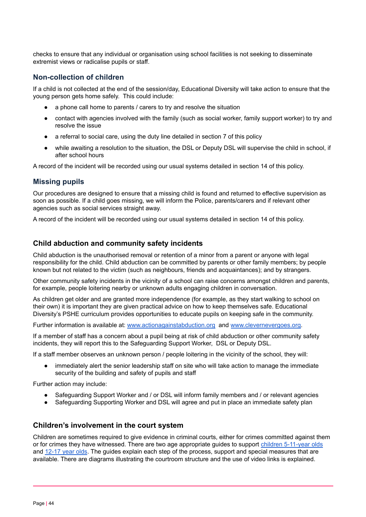checks to ensure that any individual or organisation using school facilities is not seeking to disseminate extremist views or radicalise pupils or staff.

#### **Non-collection of children**

If a child is not collected at the end of the session/day, Educational Diversity will take action to ensure that the young person gets home safely. This could include:

- a phone call home to parents / carers to try and resolve the situation
- contact with agencies involved with the family (such as social worker, family support worker) to try and resolve the issue
- a referral to social care, using the duty line detailed in section 7 of this policy
- while awaiting a resolution to the situation, the DSL or Deputy DSL will supervise the child in school, if after school hours

A record of the incident will be recorded using our usual systems detailed in section 14 of this policy.

#### **Missing pupils**

Our procedures are designed to ensure that a missing child is found and returned to effective supervision as soon as possible. If a child goes missing, we will inform the Police, parents/carers and if relevant other agencies such as social services straight away.

A record of the incident will be recorded using our usual systems detailed in section 14 of this policy.

#### **Child abduction and community safety incidents**

Child abduction is the unauthorised removal or retention of a minor from a parent or anyone with legal responsibility for the child. Child abduction can be committed by parents or other family members; by people known but not related to the victim (such as neighbours, friends and acquaintances); and by strangers.

Other community safety incidents in the vicinity of a school can raise concerns amongst children and parents, for example, people loitering nearby or unknown adults engaging children in conversation.

As children get older and are granted more independence (for example, as they start walking to school on their own) it is important they are given practical advice on how to keep themselves safe. Educational Diversity's PSHE curriculum provides opportunities to educate pupils on keeping safe in the community.

Further information is available at: [www.actionagainstabduction.org](http://www.actionagainstabduction.org) and [www.clevernevergoes.org](http://www.clevernevergoes.org).

If a member of staff has a concern about a pupil being at risk of child abduction or other community safety incidents, they will report this to the Safeguarding Support Worker, DSL or Deputy DSL.

If a staff member observes an unknown person / people loitering in the vicinity of the school, they will:

immediately alert the senior leadership staff on site who will take action to manage the immediate security of the building and safety of pupils and staff

Further action may include:

- Safeguarding Support Worker and / or DSL will inform family members and / or relevant agencies
- Safeguarding Supporting Worker and DSL will agree and put in place an immediate safety plan

#### **Children's involvement in the court system**

Children are sometimes required to give evidence in criminal courts, either for crimes committed against them or for crimes they have witnessed. There are two age appropriate guides to support children [5-11-year](https://www.gov.uk/government/publications/young-witness-booklet-for-5-to-11-year-olds) olds and [12-17](https://www.gov.uk/government/publications/young-witness-booklet-for-12-to-17-year-olds) year olds. The guides explain each step of the process, support and special measures that are available. There are diagrams illustrating the courtroom structure and the use of video links is explained.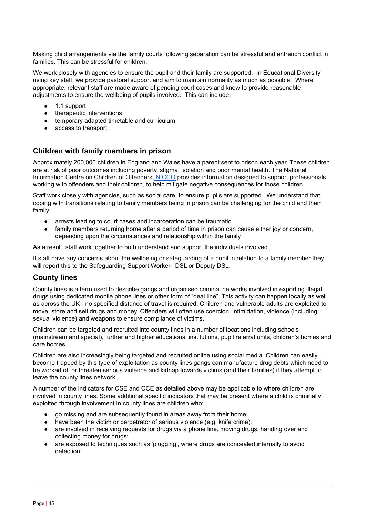Making child arrangements via the family courts following separation can be stressful and entrench conflict in families. This can be stressful for children.

We work closely with agencies to ensure the pupil and their family are supported. In Educational Diversity using key staff, we provide pastoral support and aim to maintain normality as much as possible. Where appropriate, relevant staff are made aware of pending court cases and know to provide reasonable adjustments to ensure the wellbeing of pupils involved. This can include:

- 1:1 support
- therapeutic interventions
- temporary adapted timetable and curriculum
- access to transport

#### **Children with family members in prison**

Approximately 200,000 children in England and Wales have a parent sent to prison each year. These children are at risk of poor outcomes including poverty, stigma, isolation and poor mental health. The National Information Centre on Children of Offenders, [NICCO](https://www.nicco.org.uk/) provides information designed to support professionals working with offenders and their children, to help mitigate negative consequences for those children.

Staff work closely with agencies, such as social care, to ensure pupils are supported. We understand that coping with transitions relating to family members being in prison can be challenging for the child and their family:

- arrests leading to court cases and incarceration can be traumatic
- family members returning home after a period of time in prison can cause either joy or concern, depending upon the circumstances and relationship within the family

As a result, staff work together to both understand and support the individuals involved.

If staff have any concerns about the wellbeing or safeguarding of a pupil in relation to a family member they will report this to the Safeguarding Support Worker, DSL or Deputy DSL.

#### **County lines**

County lines is a term used to describe gangs and organised criminal networks involved in exporting illegal drugs using dedicated mobile phone lines or other form of "deal line". This activity can happen locally as well as across the UK - no specified distance of travel is required. Children and vulnerable adults are exploited to move, store and sell drugs and money. Offenders will often use coercion, intimidation, violence (including sexual violence) and weapons to ensure compliance of victims.

Children can be targeted and recruited into county lines in a number of locations including schools (mainstream and special), further and higher educational institutions, pupil referral units, children's homes and care homes.

Children are also increasingly being targeted and recruited online using social media. Children can easily become trapped by this type of exploitation as county lines gangs can manufacture drug debts which need to be worked off or threaten serious violence and kidnap towards victims (and their families) if they attempt to leave the county lines network.

A number of the indicators for CSE and CCE as detailed above may be applicable to where children are involved in county lines. Some additional specific indicators that may be present where a child is criminally exploited through involvement in county lines are children who:

- go missing and are subsequently found in areas away from their home;
- have been the victim or perpetrator of serious violence (e.g. knife crime);
- are involved in receiving requests for drugs via a phone line, moving drugs, handing over and collecting money for drugs;
- are exposed to techniques such as 'plugging', where drugs are concealed internally to avoid detection;